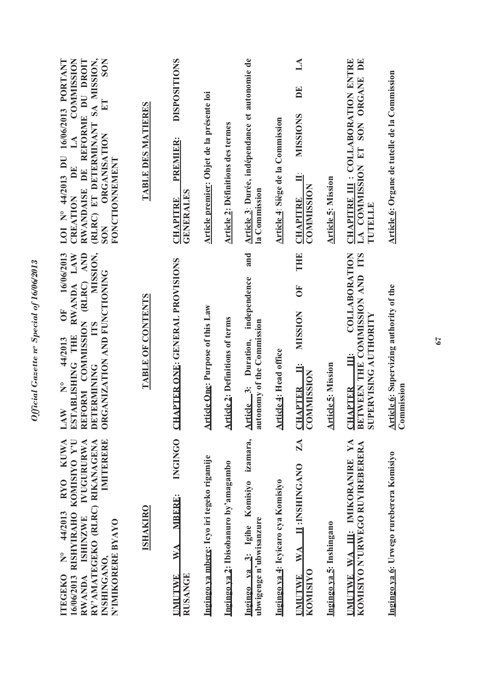| <b>KUWA</b><br>KOMISIYO Y'U<br><b>IVUGURURWA</b><br>IMITERERE<br>RY'AMATEGEKO (RLRC) RIKANAGENA<br><b>RYO</b><br>44/2013<br><b>RISHYIRAHO</b><br><b>ISHINZWE</b><br>N'IMIKORERE BYAYO<br>$\frac{1}{2}$<br>INSHINGANO,<br><b>ITEGEKO</b><br><b>RWANDA</b><br>16/06/2013 | MISSION,<br>16/06/2013<br>RWANDA LAW<br>FORM COMMISSION (RLRC) AND<br>ORGANIZATION AND FUNCTIONING<br>$\overline{0}$<br>TTS<br>ESTABLISHING THE<br>44/2013<br><b>DETERMINING</b><br>$\sum_{i=1}^{n}$<br>LAW<br><b>REI</b> | SA MISSION,<br><b>COMMISSION</b><br>RWANDAISE DE REFORME DU DROIT<br>LOI N° 44/2013 DU 16/06/2013 PORTANT<br><b>SON</b><br>(RLRC) ET DETERMINANT<br><b>ORGANISATION</b><br>LA<br>FONCTIONNEMENT<br>DE<br>CREATION<br><b>SON</b> |
|------------------------------------------------------------------------------------------------------------------------------------------------------------------------------------------------------------------------------------------------------------------------|---------------------------------------------------------------------------------------------------------------------------------------------------------------------------------------------------------------------------|---------------------------------------------------------------------------------------------------------------------------------------------------------------------------------------------------------------------------------|
| <b>ISHAKIRO</b>                                                                                                                                                                                                                                                        | <b>TABLE OF CONTENTS</b>                                                                                                                                                                                                  | TABLE DES MATIERES                                                                                                                                                                                                              |
| <b>INGINGO</b><br><b>MBERE:</b><br>WA<br><b>RUSANGE</b><br><b>UMUTWE</b>                                                                                                                                                                                               | <b>CHAPTER ONE: GENERAL PROVISIONS</b>                                                                                                                                                                                    | <b>DISPOSITIONS</b><br><b>PREMIER:</b><br><b>GENERALES</b><br><b>CHAPITRE</b>                                                                                                                                                   |
| Ingingo ya mbere: Icyo iri tegeko rigamije                                                                                                                                                                                                                             | <b>Article One: Purpose of this Law</b>                                                                                                                                                                                   | Article premier: Objet de la présente loi                                                                                                                                                                                       |
| Ingingo ya 2: Ibisobanuro by'amagambo                                                                                                                                                                                                                                  | <b>Article 2: Definitions of terms</b>                                                                                                                                                                                    | <b>Article 2: Définitions des termes</b>                                                                                                                                                                                        |
| izamara,<br>Komisiyo<br>ubwigenge n'ubwisanzure<br>Ingingo ya 3: Igihe                                                                                                                                                                                                 | and<br>independence<br>autonomy of the Commission<br>Article 3: Duration,                                                                                                                                                 | Article 3: Durée, indépendance et autonomie de<br>la Commission                                                                                                                                                                 |
| Ingingo va 4: Icyicaro cya Komisiyo                                                                                                                                                                                                                                    | <b>Article 4: Head office</b>                                                                                                                                                                                             | Article 4: Siège de la Commission                                                                                                                                                                                               |
| $Z\Lambda$<br>II: INSHINGANO<br><b>WA</b><br><b>KOMISIYO</b><br><b>UMUTWE</b>                                                                                                                                                                                          | THE<br>$\overline{0}$<br><b>MUSSION</b><br>Ë<br><b>COMMISSION</b><br><b>CHAPTER</b>                                                                                                                                       | $\mathbb{A}$<br>E<br><b>NISSIONS</b><br><b>COMMISSION</b><br><b>CHAPITRE</b>                                                                                                                                                    |
| Ingingo va 5: Inshingano                                                                                                                                                                                                                                               | <b>Article 5: Mission</b>                                                                                                                                                                                                 | <b>Article 5: Mission</b>                                                                                                                                                                                                       |
| UMUTWE WA III: IMIKORANIRE YA<br>KOMISIYO N'URWEGO RUYIREBERERA                                                                                                                                                                                                        | COLLABORATION<br>BETWEEN THE COMMISSION AND ITS<br><b>SUPERVISING AUTHORITY</b><br>Ë<br><b>CHAPTER</b>                                                                                                                    | CHAPITRE III : COLLABORATION ENTRE<br>LA COMMISSION ET SON ORGANE DE<br>TUTELLE                                                                                                                                                 |
| Ingingo ya 6: Urwego rureberera Komisiyo                                                                                                                                                                                                                               | Article 6: Supervizing authority of the<br>Commission                                                                                                                                                                     | Article 6: Organe de tutelle de la Commission                                                                                                                                                                                   |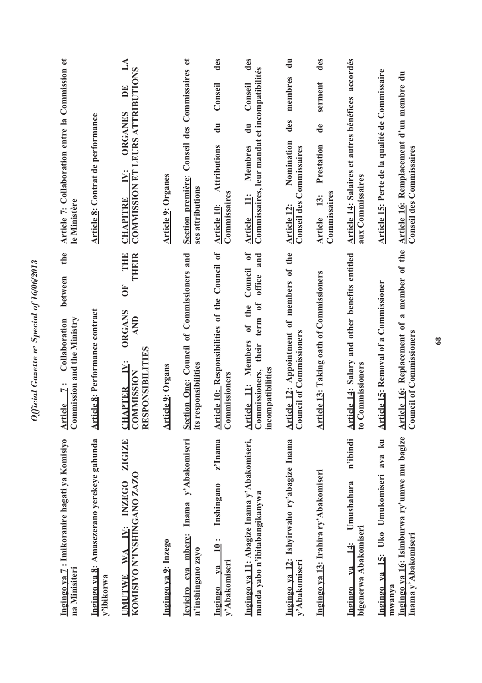| Ingingo ya 7: Imikoranire hagati ya Komisiyo<br>na Minisiteri                              | the<br>between<br>Commission and the Ministry<br>Collaboration<br>Article 7:                                                                          | Article 7: Collaboration entre la Commission et<br>le Ministère                                                              |
|--------------------------------------------------------------------------------------------|-------------------------------------------------------------------------------------------------------------------------------------------------------|------------------------------------------------------------------------------------------------------------------------------|
| Ingingo ya 8: Amasezerano yerekeye gahunda<br>y'ibikorwa                                   | <b>Article 8: Performance contract</b>                                                                                                                | <b>Article 8: Contrat de performance</b>                                                                                     |
| <b>ZIGIZE</b><br>KOMISIYO N'INSHINGANO ZAZO<br><b>INZEGO</b><br>IV:<br>WA<br><b>UMUTWE</b> | THE<br><b>THEFT</b><br>$\overline{0}$<br><b>ORGANS</b><br>AND<br>RESPONSIBILITIES<br>$\ddot{=}$<br><b>CHAPTER I</b><br>COMMISSION                     | $\mathbb{A}$<br>COMMISSION ET LEURS ATTRIBUTIONS<br>DE<br><b>ORGANES</b><br>IV:<br><b>CHAPITRE</b>                           |
| Ingingo va 9: Inzego                                                                       | <b>Article 9: Organs</b>                                                                                                                              | <b>Article 9: Organes</b>                                                                                                    |
| Inama y'Abakomiseri<br>Icviciro eva mbere:<br>n'inshingano zayo                            | Section One: Council of Commissioners and<br>responsibilities<br>its                                                                                  | Conseil des Commissaires et<br>Section première:<br>ses attributions                                                         |
| z'Inama<br>Inshingano<br>$\dot{\mathbf{q}}$<br>y'Abakomiseri<br>V2<br>Ingingo              | Article 10: Responsibilities of the Council of<br>Commissioners                                                                                       | des<br>Conseil<br>$\ddot{a}$<br><b>Attributions</b><br>Commissaires<br>Article 10:                                           |
| Ingingo ya 11: Abagize Inama y'Abakomiseri,<br>manda yabo n'ibitabangikanywa               | $\mathfrak{h}$<br>and<br>Council<br>office<br>$\mathfrak{h}$<br>of the<br>term<br>Article 11: Members<br>their<br>incompatibilities<br>Commissioners, | des<br>Commissaires, leur mandat et incompatibilités<br>Conseil<br>$\mathbf{d}$ u<br>Membres<br>$\ddot{=}$<br><b>Article</b> |
| Ingingo ya 12: Ishyirwaho ry'abagize Inama<br>y'Abakomiseri                                | Article 12: Appointment of members of the<br><b>Council of Commissioners</b>                                                                          | $\frac{1}{2}$<br>membres<br>des<br>Nomination<br><b>Conseil des Commissaires</b><br>Article 12:                              |
| Ingingo ya 13: Irahira ry'Abakomiseri                                                      | Article 13: Taking oath of Commissioners                                                                                                              | des<br>serment<br>$\mathbf{d}\mathbf{e}$<br>Prestation<br>Commissaires<br>13;<br>Article                                     |
| n'ibindi<br>Umushahara<br>bigenerwa Abakomiseri<br>$\ddot{=}$<br>va<br>Ingingo             | and other benefits entitled<br><b>Article 14: Salary</b><br>Commissioners<br>$\mathbf{c}$                                                             | Article 14: Salaires et autres bénéfices accordés<br>aux Commissaires                                                        |
| k <sub>u</sub><br>ava<br>Ingingo ya 15: Uko Umukomiseri                                    | <b>Article 15: Removal of a Commissioner</b>                                                                                                          | Article 15: Perte de la qualité de Commissaire                                                                               |
| Ingingo ya 16: Isimburwa ry'umwe mu bagize<br>Inama y'Abakomiseri<br>mwanya                | Article 16: Replacement of a member of the<br><b>Council of Commissioners</b>                                                                         | Article 16: Remplacement d'un membre du<br><b>Conseil des Commissaires</b>                                                   |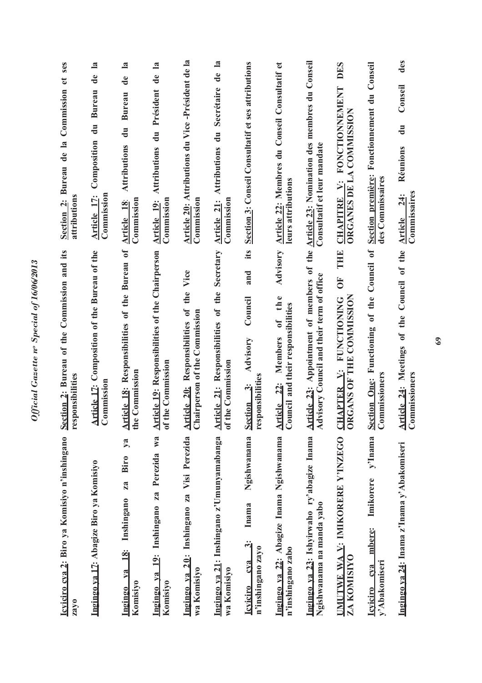| Icviciro cva 2: Biro ya Komisiyo n'inshingano<br>zayo                                                  | its<br>Section 2: Bureau of the Commission and<br>responsibilities                                                                   | ses<br>$\mathfrak{g}$<br>Commission<br>Bureau de la<br>attributions<br>Section <sub>2</sub> : |
|--------------------------------------------------------------------------------------------------------|--------------------------------------------------------------------------------------------------------------------------------------|-----------------------------------------------------------------------------------------------|
| Ingingo ya 17: Abagize Biro ya Komisiyo                                                                | Article 12: Composition of the Bureau of the<br>Commission                                                                           | de la<br>Composition du Bureau<br>Commission<br>Article 17:                                   |
| ya<br>Biro<br>za<br>Inshingano<br>Ingingo ya 18:<br>Komisiyo                                           | Article 18: Responsibilities of the Bureau of<br>the Commission                                                                      | de la<br><b>Bureau</b><br>du<br><b>Attributions</b><br>Article 18:<br>Commission              |
| Ingingo ya 19: Inshingano za Perezida wa<br>Komisiyo                                                   | Article 19: Responsibilities of the Chairperson<br>of the Commission                                                                 | du Président de la<br><b>Attributions</b><br>Article 19:<br>Commission                        |
| Visi Perezida<br>20: Inshingano za<br>wa Komisiyo<br>Ingingo ya                                        | the Vice<br>Responsibilities of<br>nairperson of the Commission<br>Article 20:<br>ರ                                                  | Article 20: Attributions du Vice-Président de la<br>Commission                                |
| Ingingo ya 21: Inshingano z'Umunyamabanga<br>wa Komisiyo                                               | Secretary<br>Article 21: Responsibilities of the<br>of the Commission                                                                | Secrétaire de la<br>$\frac{1}{2}$<br><b>Attributions</b><br>Article 21:<br>Commission         |
| Ngishwanama<br>Inama<br>$\ddot{\mathbf{c}}$<br>n'inshingano zayo<br>c <sub>va</sub><br><b>Icviciro</b> | its<br>and<br>Council<br><b>Advisory</b><br>responsibilities<br>$\ddot{\ddot{\sigma}}$<br><b>Section</b>                             | Section 3: Conseil Consultatif et ses attributions                                            |
| Ingingo ya 22: Abagize Inama Ngishwanama<br>n'inshingano zabo                                          | Advisory<br>the<br>Council and their responsibilities<br>$\sigma f$<br>Members<br>$\frac{22}{3}$<br><b>Article</b>                   | Article 22: Membres du Conseil Consultatif et<br>leurs attributions                           |
| Ingingo va 23: Ishyirwaho ry'abagize Inama<br>Ngishwanama na manda yabo                                | Article 23: Appointment of members of the Article 23: Nomination des membres du Conseil<br>Advisory Council and their term of office | Consultatif et leur mandate                                                                   |
| UMUTWE WA V: IMIKORERE Y'INZEGO<br>ZA KOMISIYO                                                         | THE<br>$\overline{\bf{5}}$<br>ORGANS OF THE COMMISSION<br><b>FUNCTIONING</b><br>HAPTER V:<br>J                                       | DES<br>CHAPITRE V: FONCTIONNEMENT<br>ORGANES DE LA COMMISSION                                 |
| y'Inama<br>Imikorere<br>mbere:<br>y'Abakomiseri<br>cva<br><b>Leviciro</b>                              | Council of<br>Section One: Functioning of the<br>Commissioners                                                                       | Conseil<br>Fonctionnement du<br><b>Section première:</b><br>des Commissaires                  |
| Ingingo ya 24: Inama z'Inama y'Abakomiseri                                                             | Article 24: Meetings of the Council of the<br>Commissioners                                                                          | des<br>Conseil<br>$\ddot{\vec{a}}$<br>Réunions<br>Commissaires<br><b>24:</b><br>Article       |

Official Gazette nº Special of 16/06/2013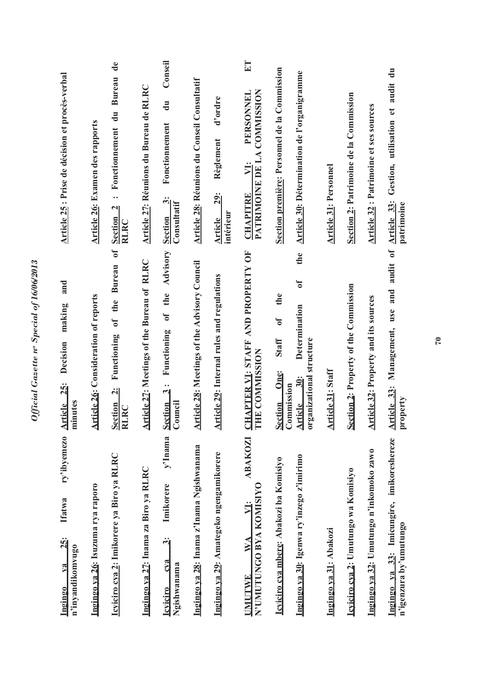| ry'ibyemezo<br><b>Ifatwa</b><br><b>25:</b><br>n'inyandikomvugo<br>$1$ a<br>Ingingo           | and<br>making<br>Decision<br>25:<br>inutes<br><u>rticle</u><br>Ē<br>$\mathbf{z}$                                     | Article 25 : Prise de décision et procès-verbal                                                                       |
|----------------------------------------------------------------------------------------------|----------------------------------------------------------------------------------------------------------------------|-----------------------------------------------------------------------------------------------------------------------|
| Ingingo ya 26: Isuzuma rya raporo                                                            | Article 26: Consideration of reports                                                                                 | <b>Article 26: Examen des rapports</b>                                                                                |
| Icyiciro cya 2: Imikorere ya Biro ya RLRC                                                    | $\sigma$<br><b>Bureau</b><br>the<br>$\overline{\textbf{c}}$<br>Functioning<br>$\ddot{\mathbf{a}}$<br>Section<br>RLRC | $\mathbf{d}\mathbf{e}$<br><b>Bureau</b><br>$\ddot{a}$<br>Fonctionnement<br><br>$\mathbf{N}$<br><b>Section</b><br>RLRC |
| Ingingo ya 27: Inama za Biro ya RLRC                                                         | Article 27: Meetings of the Bureau of RLRC                                                                           | Article 27: Réunions du Bureau de RLRC                                                                                |
| y'Inama Section<br>Imikorere<br>$\ddot{\mathbf{c}}$<br>CVA<br>Ngishwanama<br><b>Icviciro</b> | the Advisory<br>t<br>Functioning<br>$\ddot{3}$<br>Council                                                            | Conseil<br>$\ddot{a}$<br>Fonctionnement<br>$\ddot{\bm{c}}$<br>Consultatif<br>Section                                  |
| Ingingo ya 28: Inama z'Inama Ngishwanama                                                     | rticle 28: Meetings of the Advisory Council<br>₹                                                                     | <b>Article 28: Réunions du Conseil Consultatif</b>                                                                    |
| Ingingo ya 29: Amategeko ngengamikorere                                                      | rticle 29: Internal rules and regulations<br>₹                                                                       | d'ordre<br>Règlement<br><b>29:</b><br>intérieur<br><b>Article</b>                                                     |
| ABAKOZI<br>N'UMUTUNGO BYA KOMISIYO<br>VI:<br>$\mathbf{W}$ A<br><b>UMUTWE</b>                 | CHAPTER VI: STAFF AND PROPERTY OF<br>THE COMMISSION                                                                  | ET<br>PATRIMOINE DE LA COMMISSION<br>PERSONNEL<br>VI:<br><b>CHAPITRE</b>                                              |
| Icviciro cva mbere: Abakozi ba Komisiyo                                                      | the<br>$\delta$<br><b>Staff</b><br>One:<br>Section Or<br>Commission                                                  | Section première: Personnel de la Commission                                                                          |
| Ingingo ya 30: Igenwa ry'inzego z'imirimo                                                    | the<br>$\sigma$<br>Determination<br>organizational structure<br>$\ddot{a}$<br><b>Article</b>                         | Article 30: Détermination de l'organigramme                                                                           |
| Ingingo va 31: Abakozi                                                                       | Article 31: Staff                                                                                                    | <b>Article 31: Personnel</b>                                                                                          |
| Icviciro cva 2: Umutungo wa Komisiyo                                                         | Section 2: Property of the Commission                                                                                | Section 2: Patrimoine de la Commission                                                                                |
| Ingingo ya 32: Umutungo n'inkomoko zawo                                                      | rticle 32: Property and its sources<br>₹                                                                             | Article 32 : Patrimoine et ses sources                                                                                |
| 33: Imicungire, imikoreshereze<br>n'igenzura by'umutungo<br>Ingingo ya                       | $\mathfrak{b}$<br>audit<br>Management, use and<br>Article 33:<br>operty<br>Þr                                        | $\ddot{a}$<br>audit<br>Gestion, utilisation et<br>Article 33:<br>patrimoine                                           |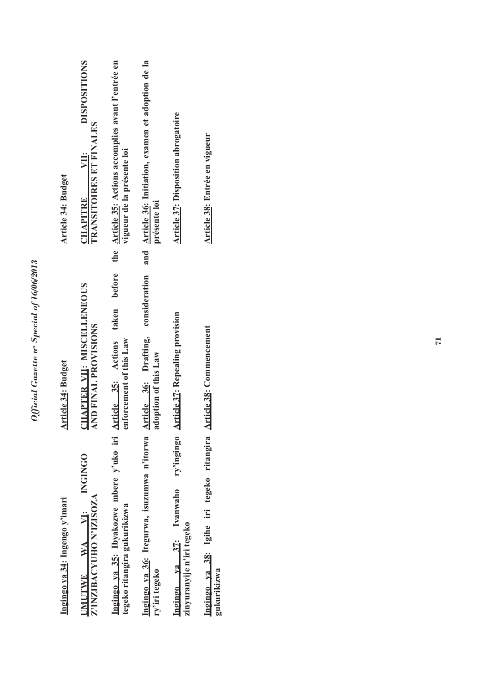| Ingingo va 35: Ibyakozwe mbere y'uko iri Article 35: Actions taken before<br>Ingingo ya 36: Itegurwa, isuzumwa n'itorwa Article 36: Drafting,<br>UMUTWE WA VI: INGINGO<br>Ingingo va 37: Ivanwaho<br>Z'INZIBACYUHO N'IZISOZA<br>Ingingo ya 34: Ingengo y'imari<br>tegeko ritangira gukurikizwa<br>ry'iri tegeko | consideration<br><u>CHAPTER VII</u> : MISCELLENEOUS<br>AND FINAL PROVISIONS<br>ry'ingingo Article 37: Repealing provision<br>enforcement of this Law<br>adoption of this Law<br>Article 34: Budget | <b>DISPOSITIONS</b><br>and Article 36: Initiation, examen et adoption de la<br>the Article 35: Actions accomplies avant l'entrée en<br><b>Article 37: Disposition abrogatoire</b><br>TRANSITOIRES ET FINALES<br>vigueur de la présente loi<br><b>CHAPITRE VII:</b><br>Article 34: Budget<br>présente loi |
|-----------------------------------------------------------------------------------------------------------------------------------------------------------------------------------------------------------------------------------------------------------------------------------------------------------------|----------------------------------------------------------------------------------------------------------------------------------------------------------------------------------------------------|----------------------------------------------------------------------------------------------------------------------------------------------------------------------------------------------------------------------------------------------------------------------------------------------------------|
|                                                                                                                                                                                                                                                                                                                 |                                                                                                                                                                                                    |                                                                                                                                                                                                                                                                                                          |
|                                                                                                                                                                                                                                                                                                                 |                                                                                                                                                                                                    |                                                                                                                                                                                                                                                                                                          |
| zinyuranyije n'iri tegeko                                                                                                                                                                                                                                                                                       |                                                                                                                                                                                                    |                                                                                                                                                                                                                                                                                                          |
| Ingingo va 38: Igihe iri tegeko ritangira Article 38: Commencement<br>gukurikizwa                                                                                                                                                                                                                               |                                                                                                                                                                                                    | Article 38: Entrée en vigueur                                                                                                                                                                                                                                                                            |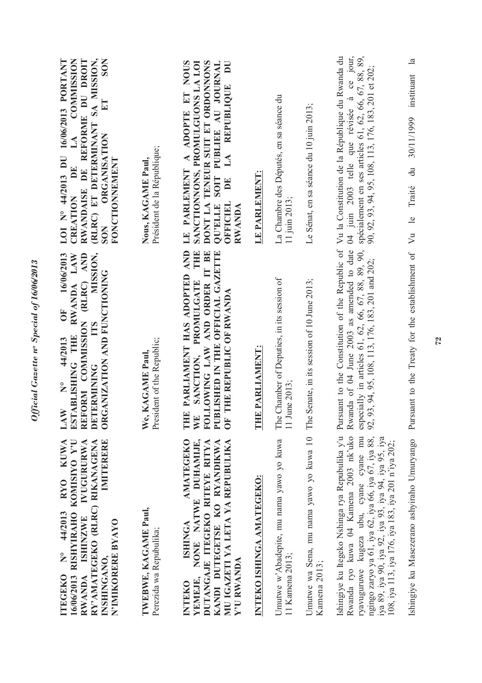| <b>KUWA</b><br>IVUGURURWA<br>IMITERERE<br>RISHYIRAHO KOMISIYO Y'U<br>RY'AMATEGEKO (RLRC) RIKANAGENA<br><b>RYO</b><br>TWEBWE, KAGAME Paul,<br>44/2013<br><b>ISHINZWE</b><br>N'IMIKORERE BYAYO<br>Perezida wa Repubulika;<br>$\frac{1}{2}$<br>INSHINGANO,<br>16/06/2013<br><b>ITEGEKO</b><br><b>RWANDA</b> | MISSION,<br>16/06/2013<br>RWANDA LAW<br>REFORM COMMISSION (RLRC) AND<br>ORGANIZATION AND FUNCTIONING<br>Ŏ<br><b>TTS</b><br>ESTABLISHING THE<br>44/2013<br>President of the Republic;<br><b>KAGAME Paul</b><br>DETERMINING<br>$\tilde{\mathbf{z}}$<br>LAW<br>We, | (RLRC) ET DETERMINANT SA MISSION,<br><b>COMMISSION</b><br>RWANDAISE DE REFORME DU DROIT<br><b>SON</b><br>LOI N° 44/2013 DU 16/06/2013 PORTANT<br>$E$ T<br><b>ORGANISATION</b><br>LA<br>Président de la République;<br>FONCTIONNEMENT<br>Nous, KAGAME Paul,<br>DE<br>CREATION<br><b>SON</b> |
|----------------------------------------------------------------------------------------------------------------------------------------------------------------------------------------------------------------------------------------------------------------------------------------------------------|-----------------------------------------------------------------------------------------------------------------------------------------------------------------------------------------------------------------------------------------------------------------|--------------------------------------------------------------------------------------------------------------------------------------------------------------------------------------------------------------------------------------------------------------------------------------------|
| NONE NATWE DUHAMIJE,<br><b>AMATEGEKO</b><br>DUTANGAJE ITEGEKO RITEYE RITYA<br>KANDI DUTEGETSE KO RYANDIKWA<br>MU IGAZETI YA LETA YA REPUBULIKA<br><b>ISHINGA</b><br>Y'U RWANDA<br>YEMEJE,<br><b>INTEKO</b>                                                                                               | PARLIAMENT HAS ADOPTED AND<br>THE<br>FOLLOWING LAW AND ORDER IT BE<br>PUBLISHED IN THE OFFICIAL GAZETTE<br>SANCTION, PROMULGATE<br>THE REPUBLIC OF RWANDA<br>THE<br>WE<br>UF <sub>1</sub>                                                                       | LE PARLEMENT A ADOPTE ET NOUS<br>$\overline{\mathbf{D}}$<br>SANCTIONNONS, PROMULGUONS LA LOI<br>DONT LA TENEUR SUIT ET ORDONNONS<br>SOIT PUBLIEE AU JOURNAL<br>LA REPUBLIQUE<br>DE<br><b>QU'ELLE</b><br>OFFICIEL<br>RWANDA                                                                 |
| INTEKO ISHINGA AMATEGEKO:                                                                                                                                                                                                                                                                                | THE PARLIAMENT:                                                                                                                                                                                                                                                 | LE PARLEMENT:                                                                                                                                                                                                                                                                              |
| Umutwe w'Abadepite, mu nama yawo yo kuwa<br>11 Kamena 2013;                                                                                                                                                                                                                                              | The Chamber of Deputies, in its session of<br>11 June 2013;                                                                                                                                                                                                     | La Chambre des Députés, en sa séance du<br>11 juin 2013;                                                                                                                                                                                                                                   |
| Umutwe wa Sena, mu nama yawo yo kuwa 10<br>Kamena 2013;                                                                                                                                                                                                                                                  | The Senate, in its session of 10 June 2013;                                                                                                                                                                                                                     | Le Sénat, en sa séance du 10 juin 2013;                                                                                                                                                                                                                                                    |
| Ishingiye ku Itegeko Nshinga rya Repubulika y'u<br>Rwanda ryo kuwa 04 Kamena 2003 nk'uko<br>ryavuguruwe kugeza ubu, cyane cyane mu<br>ngingo zaryo ya 61, iya 62, iya 66, iya 67, iya 88,<br>iya 89, iya 90, iya 92, iya 93, iya 94, iya 95, iya<br>108, iya 113, iya 176, iya 183, iya 201 n'iya 202;   | Pursuant to the Constitution of the Republic of<br>Rwanda of 04 June 2003 as amended to date<br>especially in articles 61, 62, 66, 67, 88, 89, 90,<br>92, 93, 94, 95, 108, 113, 176, 183, 201 and 202;                                                          | 04 juin 2003 telle que révisée à ce jour,<br>spécialement en ses articles 61, 62, 66, 67, 88, 89,<br>Vu la Constitution de la République du Rwanda du<br>90, 92, 93, 94, 95, 108, 113, 176, 183, 201 et 202;                                                                               |
| Ishingiye ku Masezerano ashyiraho Umuryango                                                                                                                                                                                                                                                              | Pursuant to the Treaty for the establishment of                                                                                                                                                                                                                 | $\mathbf{a}$<br>instituant<br>30/11/1999<br>$\frac{du}{dt}$<br>Traité<br>Vu le                                                                                                                                                                                                             |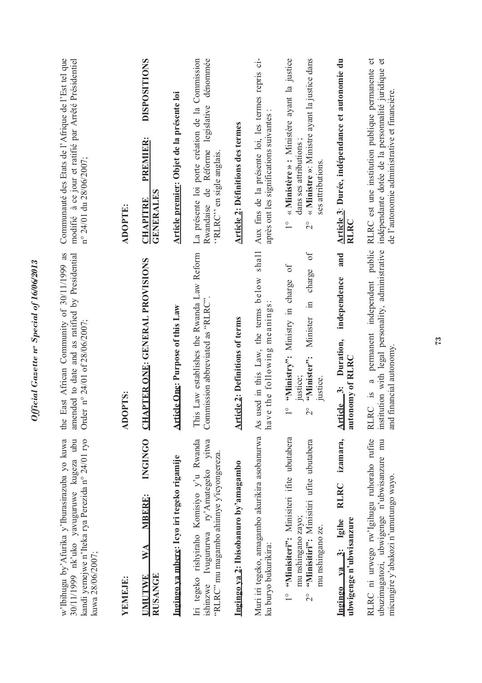| 30/11/1999 nk'uko yavuguruwe kugeza ubu<br>kandi yemejwe n'Iteka rya Perezida n° 24/01 ryo<br>w'Ibihugu by'Afurika y'Iburasirazuba yo kuwa<br>kuwa 28/06/2007; | East African Community of 30/11/1999 as<br>ended to date and as ratified by Presidential<br>Order n° 24/01 of 28/06/2007;<br>the<br>am                                      | Communauté des Etats de l'Afrique de l'Est tel que<br>modifié à ce jour et ratifié par Arrêté Présidentiel<br>n° 24/01 du 28/06/2007;                                         |
|----------------------------------------------------------------------------------------------------------------------------------------------------------------|-----------------------------------------------------------------------------------------------------------------------------------------------------------------------------|-------------------------------------------------------------------------------------------------------------------------------------------------------------------------------|
| YEMEJE:                                                                                                                                                        | ADOPTS:                                                                                                                                                                     | <b>ADOPTE:</b>                                                                                                                                                                |
| INGINGO<br><b>MBERE:</b><br>$\mathbb{W}^{\mathcal{A}}$<br><b>RUSANGE</b><br><b>UMUTWE</b>                                                                      | <b>CHAPTER ONE: GENERAL PROVISIONS</b>                                                                                                                                      | <b>DISPOSITIONS</b><br><b>PREMIER:</b><br><b>GENERALES</b><br><b>CHAPITRE</b>                                                                                                 |
| Ingingo ya mberg: Icyo iri tegeko rigamije                                                                                                                     | Article One: Purpose of this Law                                                                                                                                            | Article premier: Objet de la présente loi                                                                                                                                     |
| Iri tegeko rishyiraho Komisiyo y'u Rwanda<br>Ivugururwa ry'Amategeko yitwa<br>"RLRC" mu magambo ahimye y'icyongereza.<br>ishinzwe                              | This Law establishes the Rwanda Law Reform<br>Commission abbreviated as "RLRC".                                                                                             | La présente loi porte création de la Commission<br>dénommée<br>de Réforme legislative<br>"RLRC" en sigle anglais.<br>Rwandaise                                                |
| Ingingo ya 2: Ibisobanuro by'amagambo                                                                                                                          | <b>Article 2: Definitions of terms</b>                                                                                                                                      | <b>Article 2: Définitions des termes</b>                                                                                                                                      |
| Muri iri tegeko, amagambo akurikira asobanurwa<br>ku buryo bukurikira:                                                                                         | shall<br>used in this Law, the terms below<br>have the following meanings<br>As                                                                                             | Aux fins de la présente loi, les termes repris ci-<br>après ont les significations suivantes                                                                                  |
| 1° "Minisiteri": Minisiteri ifite ubutabera<br>"Minisitiri": Minisitiri ufite ubutabera<br>mu nshingano zayo;<br>mu nshingano ze.<br>$\overline{2}^{\circ}$    | $\sigma$<br>$\sigma$ f<br>charge<br>"Ministry": Ministry in charge<br>Minister in<br>"Ninister":<br>justice;<br>justice.<br>$\frac{1}{\sqrt{2}}$<br>$\overset{\circ}{\sim}$ | « Ministère » : Ministère ayant la justice<br>« Ministre »: Ministre ayant la justice dans<br>dans ses attributions;<br>ses attributions.<br>$\overline{1}$<br>$\overline{C}$ |
| izamara,<br><b>RLRC</b><br>ubwigenge n'ubwisanzure<br>va 3: Igihe<br>Ingingo                                                                                   | and<br>independence<br>Article 3: Duration,<br>autonomy of RLRC                                                                                                             | Article 3: Durée, indépendance et autonomie du<br><b>RLRC</b>                                                                                                                 |
| RLRC ni urwego rw'Igihugu ruhoraho rufite<br>ubuzimagatozi, ubwigenge n'ubwisanzure mu<br>micungire y'abakozi n'umutungo wayo.                                 | permanent independent public<br>institution with legal personality, administrative<br>and financial autonomy.<br>$\mathfrak{a}$<br>RLRC is                                  | RLRC est une institution publique permanente et<br>$\sigma$<br>indépendante dotée de la personnalité juridique<br>de l'autonomie administrative et financière.                |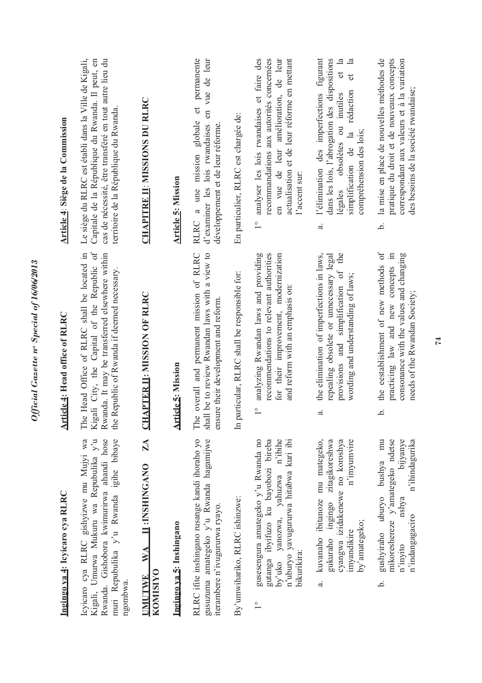| Ingingo va 4: Icyicaro cya RLRC                                                                                                                                                        | Article 4: Head office of RLRC                                                                                                                                                                   | Article 4: Siège de la Commission                                                                                                                                                                                                       |
|----------------------------------------------------------------------------------------------------------------------------------------------------------------------------------------|--------------------------------------------------------------------------------------------------------------------------------------------------------------------------------------------------|-----------------------------------------------------------------------------------------------------------------------------------------------------------------------------------------------------------------------------------------|
| Icyicaro cya RLRC gishyizwe mu Mujyi wa<br>Kigali, Umurwa Mukuru wa Repubulika y'u<br>Rwanda. Gishobora kwimurirwa ahandi hose<br>muri Repubulika y'u Rwanda igihe bibaye<br>ngombwa   | Kigali City, the Capital of the Republic of<br>Head Office of RLRC shall be located in<br>Rwanda. It may be transferred elsewhere within<br>the Republic of Rwanda if deemed necessary.<br>The 1 | Le siège du RLRC est établi dans la Ville de Kigali,<br>cas de nécessité, être transféré en tout autre lieu du<br>Capitale de la République du Rwanda. Il peut, en<br>territoire de la République du Rwanda.                            |
| ZA<br><b>IL: INSHINGANO</b><br>WA<br><b>KOMISIYO</b><br><b>UMUTWE</b>                                                                                                                  | PTER II: MISSION OF RLRC<br>CHA                                                                                                                                                                  | <b>CHAPITRE II: MISSIONS DU RLRC</b>                                                                                                                                                                                                    |
| Ingingo ya 5: Inshingano                                                                                                                                                               | <b>Article 5: Mission</b>                                                                                                                                                                        | <b>Article 5: Mission</b>                                                                                                                                                                                                               |
| RLRC ifite inshingano rusange kandi ihoraho yo<br>gusuzuma amategeko y'u Rwanda hagamijwe<br>iterambere n'ivugururwa ryayo.                                                            | overall and permanent mission of RLRC<br>be to review Rwandan laws with a view to<br>ensure their development and reform.<br>shall<br>The                                                        | permanente<br>d'examiner les lois rwandaises en vue de leur<br>$\sigma$<br>RLRC a une mission globale<br>développement et de leur réforme                                                                                               |
| By'umwihariko, RLRC ishinzwe:                                                                                                                                                          | In particular, RLRC shall be responsible for:                                                                                                                                                    | En particulier, RLRC est chargée de:                                                                                                                                                                                                    |
| gusesengura amategeko y'u Rwanda no<br>gutanga ibyifuzo ku bayobozi bireba<br>by'uko yanozwa, yahuzwa n'ibihe<br>n'uburyo yavugururwa hitabwa kuri ibi<br>bikurikira:<br>$\frac{0}{1}$ | analyzing Rwandan laws and providing<br>recommendations to relevant authorities<br>for their improvement, modernization<br>and reform with an emphasis on:                                       | analyser les lois rwandaises et faire des<br>en vue de leur amélioration, de leur<br>recommandations aux autorités concernées<br>actualisation et de leur réforme en mettant<br>l'accent sur:<br>$\frac{1}{1}$                          |
| kuvanaho ibitanoze mu mategeko,<br>zitagikoreshwa<br>cyangwa izidakenewe no koroshya<br>n'imyumvire<br>ingingo<br>by'amategeko;<br>myandikire<br>gukuraho<br>ಹ                         | the elimination of imperfections in laws,<br>the<br>repealing obsolete or unnecessary legal<br>provisions and simplification of<br>wording and understanding of laws;<br>$\vec{a}$               | l'élimination des imperfections figurant<br>dans les lois, l'abrogation des dispositions<br>$et$ la<br>$\frac{a}{b}$<br>đ<br>rédaction<br>légales obsolètes ou inutiles<br>compréhension des lois;<br>simplification de la<br>$\vec{a}$ |
| gushyiraho uburyo bushya mu<br>mikoreshereze y'amategeko ndetse<br>bijyanye<br>n'ihindagurika<br>nshya<br>n'indangagaciro<br>n'invito<br>نم.                                           | the eestablishment of new methods of<br>consonance with the values and changing<br>practicing law and new concepts in<br>needs of the Rwandan Society;<br><u>م</u>                               | la mise en place de nouvelles méthodes de<br>pratique du droit et de nouveaux concepts<br>correspondant aux valeurs et à la variation<br>des besoins de la société rwandaise;<br>.<br>ص                                                 |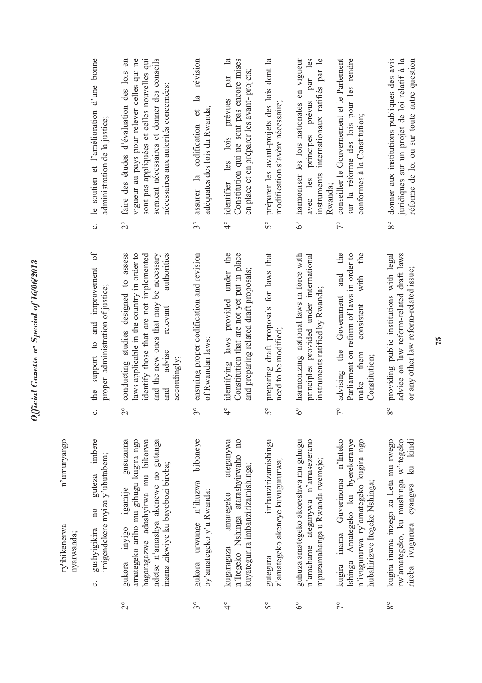| imbere<br>guteza<br>10 <sub>o</sub><br>gushyigikira<br>nyarwanda;                                                                             | the support to and improvement of<br>$\ddot{\circ}$                                                                                                           | le soutien et l'amélioration d'une bonne<br>$\ddot{\circ}$                                                                                                  |
|-----------------------------------------------------------------------------------------------------------------------------------------------|---------------------------------------------------------------------------------------------------------------------------------------------------------------|-------------------------------------------------------------------------------------------------------------------------------------------------------------|
| gusuzuma<br>amategeko ariho mu gihugu kugira ngo<br>imigendekere myiza y'ubutabera;<br>gukora inyigo igamije                                  | conducting studies designed to assess<br>laws applicable in the country in order to<br>proper administration of justice;<br>$\overline{c}$                    | vigueur au pays pour relever celles qui ne<br>faire des études d'évaluation des lois en<br>administration de la justice;<br>$\overset{\circ}{\sim}$         |
| hagaragazwe adashyirwa mu bikorwa<br>ndetse n'amashya akenewe no gutanga<br>inama zikwiye ku bayobozi bireba;                                 | authorities<br>identify those that are not implemented<br>and the new ones that may be necessary<br>relevant<br>advise<br>accordingly;<br>and                 | sont pas appliquées et celles nouvelles qui<br>seraient nécessaires et donner des conseils<br>nécessaires aux autorités concernées;                         |
| biboneye<br>gukora urwunge n'ihuzwa<br>by'amategeko y'u Rwanda;                                                                               | ensuring proper codification and revision<br>of Rwandan laws;<br>$3^{\circ}$                                                                                  | révision<br>$\overline{\mathbf{a}}$<br>adéquates des lois du Rwanda;<br>assurer la codification et<br>$3^{\circ}$                                           |
| ateganywa<br>n'Itegeko Nshinga atarashyirwaho no<br>kuyategurira imbanzirizamishinga;<br>amategeko                                            | identifying laws provided under the<br>Constitution that are not yet put in place<br>and preparing related draft proposals;<br>$\frac{1}{4}$                  | par la<br>Constitution qui ne sont pas encore mises<br>en place et en préparer les avant-projets;<br>identifier les lois prévues<br>$\frac{1}{4}$           |
| imbanzirizamishinga<br>z'amategeko akeneye kuvugururwa;                                                                                       | preparing draft proposals for laws that<br>need to be modified;<br>$5^{\circ}$                                                                                | 5° préparer les avant-projets des lois dont la<br>modification s'avère nécessaire;                                                                          |
| guhuza amategeko akoreshwa mu gihugu<br>n'amahame ateganywa n'amasezerano<br>mpuzamahanga u Rwanda rwemeje;                                   | harmonizing national laws in force with<br>principles provided under international<br>instruments ratified by Rwanda;<br>$\delta^{\circ}$                     | harmoniser les lois nationales en vigueur<br>avec les principes prévus par les<br>instruments internationaux ratifiés par le<br>Rwanda:<br>$\delta^{\circ}$ |
| kugira inama Guverinoma n'Inteko<br>Ishinga Amategeko ku byerekeranye<br>n'ivugururwa ry'amategeko kugira ngo<br>hubahirizwe Itegeko Nshinga; | the<br>Parliament on reform of laws in order to<br>the<br>and<br>with<br>advising the Government<br>consistent<br>make them<br>Constitution;<br>$\frac{1}{2}$ | conseiller le Gouvernement et le Parlement<br>sur la réforme des lois pour les rendre<br>conformes à la Constitution;<br>$\frac{1}{\sqrt{2}}$               |
| kugira inama inzego za Leta mu rwego<br>rw'amategeko, ku mushinga w'itegeko                                                                   | advice on law reform-related draft laws<br>providing public institutions with legal<br>$8^{\circ}$                                                            | donner aux institutions publiques des avis<br>juridiques sur un projet de loi relatif à la<br>$8^{\circ}$                                                   |

ပ

- 2° gukora inyigo igamije gusuzuma amategeko ariho mu gihugu kugira ngo hagaragazwe adashyirwa mu bikorwa ndetse n'amashya akenewe no gutanga inama zikwiye ku bayobozi bireba; gukora inyigo igan<br>amategeko ariho mu gi ndetse n'amashya akeı<br>inama zikwiye ku bayol hagaragazwe adashyir  $\overline{c}$
- 3° gukora urwunge n'ihuzwa biboneye by'amategeko y'u Rwanda; gukora urwunge n'i<br>by'amategeko y'u Rwan  $3^{\circ}$
- 4° kugaragaza amategeko ateganywa n'Itegeko Nshinga atarashyirwaho no kuyategurira imbanzirizamishinga; kugaragaza amatego n'Itegeko Nshinga at kuyategurira imbanziriz  $\frac{1}{4}$
- 5° gutegura imbanzirizamishinga z'amategeko akeneye kuvugururwa; İml z'amategeko akeneye k gutegura  $5^{\circ}$
- 6° guhuza amategeko akoreshwa mu gihugu n'amahame ateganywa n'amasezerano mpuzamahanga u Rwanda rwemeje; n'amahame ateganywa<br>mpuzamahanga u Rwan guhuza amategeko akor  $6^\circ$
- 7° kugira inama Guverinoma n'Inteko Ishinga Amategeko ku byerekeranye n'ivugururwa ry'amategeko kugira ngo hubahirizwe Itegeko Nshinga; kugira inama Guven n'ivugururwa ry'amate<br>hubahirizwe Itegeko Ns Ishinga Amategeko  $7^{\circ}$
- 8° kugira inama inzego za Leta mu rwego rw'amategeko, ku mushinga w'itegeko rw'amategeko, ku mushinga w'itegeko ku kindi rireba ivugurura cyangwa ku kindi rireba ivugurura cyangwa kugira inama inzego za  $8^{\circ}$

or any other law reform-related issue;

or any other law reform-related issue;

réforme de loi ou sur toute autre question

réforme de loi ou sur toute autre question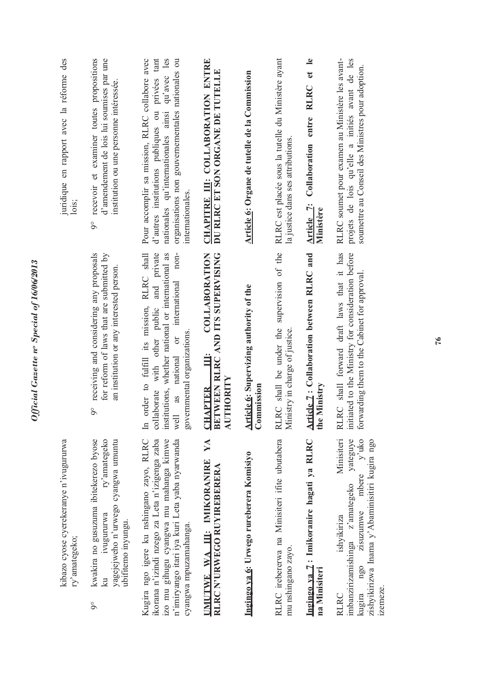| juridique en rapport avec la réforme des<br>lois;       | recevoir et examiner toutes propositions<br>d'amendement de lois lui soumises par une<br>institution ou une personne intéressée.<br>$\overline{9}^{\circ}$                     | organisations non gouvernementales nationales ou<br>d'autres institutions publiques ou privées tant<br>Pour accomplir sa mission, RLRC collabore avec<br>qu'avec les<br>nationales qu'internationales ainsi<br>internationales.                  | CHAPITRE III: COLLABORATION ENTRE<br>DU RLRC ET SON ORGANE DE TUTELLE                                 | Article 6: Organe de tutelle de la Commission         | RLRC est placée sous la tutelle du Ministère ayant<br>la justice dans ses attributions. | Article 7: Collaboration entre RLRC et le<br>Ministère    | RLRC soumet pour examen au Ministère les avant-<br>projets de lois qu'elle a initiés avant de les<br>soumettre au Conseil des Ministres pour adoption.                                      |
|---------------------------------------------------------|--------------------------------------------------------------------------------------------------------------------------------------------------------------------------------|--------------------------------------------------------------------------------------------------------------------------------------------------------------------------------------------------------------------------------------------------|-------------------------------------------------------------------------------------------------------|-------------------------------------------------------|-----------------------------------------------------------------------------------------|-----------------------------------------------------------|---------------------------------------------------------------------------------------------------------------------------------------------------------------------------------------------|
|                                                         | receiving and considering any proposals<br>for reform of laws that are submitted by<br>an institution or any interested person.<br>$\overline{9}^{\circ}$                      | collaborate with other public and private<br>order to fulfill its mission, RLRC shall<br>non-<br>institutions, whether national or international as<br>or international<br>governmental organizations.<br>national<br>as<br>well<br>$\mathbb{H}$ | <b>COLLABORATION</b><br>BETWEEN RLRC AND ITS SUPERVISING<br>$\ddot{=}$<br>AUTHORITY<br><b>CHAPTER</b> | Article 6: Supervizing authority of the<br>Commission | RLRC shall be under the supervision of the<br>Ministry in charge of justice.            | Article 7: Collaboration between RLRC and<br>the Ministry | RLRC shall forward draft laws that it has<br>initiated to the Ministry for consideration before<br>forwarding them to the Cabinet for approval.                                             |
| kibazo cyose cyerekeranye n'ivugururwa<br>ry'amategeko; | ry'amategeko<br>kwakira no gusuzuma ibitekerezo byose<br>yagejejweho n'urwego cyangwa umuntu<br><i>ivugururwa</i><br>ubifitemo inyungu.<br>$\overline{\mathbb{R}}$<br>$\delta$ | ikorana n'izindi nzego za Leta n'izigenga zaba<br>izo mu gihugu cyangwa mu mahanga kimwe<br>Kugira ngo igere ku nshingano zayo, RLRC<br>n'imiryango itari iya kuri Leta yaba nyarwanda<br>cyangwa mpuzamahanga.                                  | YA<br>UMUTWE WA III: IMIKORANIRE<br>RLRC N'URWEGO RUYIREBERERA                                        | Ingingo ya 6: Urwego rureberera Komisiyo              | RLRC irebererwa na Minisiteri ifite ubutabera<br>mu nshingano zayo.                     | Ingingo ya 7: Imikoranire hagati ya RLRC<br>na Minisiteri | Minisiteri<br>y'uko<br>yateguye<br>zishyikirizwa Inama y'Abaminisitiri kugira ngo<br>zisuzumwe mbere<br>imbanzirizamishinga z'amategeko<br>ishyikiriza<br>ngo<br>izemeze.<br>kugira<br>RLRC |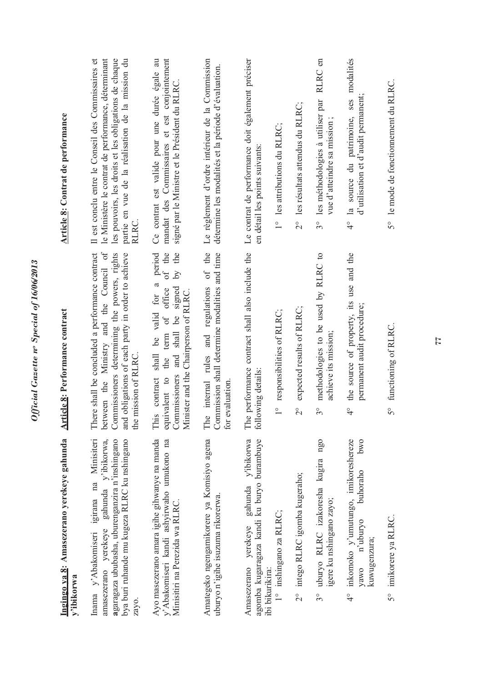| Ingingo ya 8: Amasezerano yerekeye gahunda<br>y'ibikorwa                                                                                                                                               | Article 8: Performance contract                                                                                                                                                                                         | <b>Article 8: Contrat de performance</b>                                                                                                                                                                                        |
|--------------------------------------------------------------------------------------------------------------------------------------------------------------------------------------------------------|-------------------------------------------------------------------------------------------------------------------------------------------------------------------------------------------------------------------------|---------------------------------------------------------------------------------------------------------------------------------------------------------------------------------------------------------------------------------|
| Minisiteri<br>gahunda y'ibikorwa,<br>agaragaza ububasha, uburenganzira n'inshingano<br>bya buri ruhande mu kugeza RLRC ku nshingano<br>Inama y'Abakomiseri igirana na<br>amasezerano yerekeye<br>zayo. | between the Ministry and the Council of<br>There shall be concluded a performance contract<br>Commissioners determining the powers, rights<br>and obligations of each party in order to achieve<br>the mission of RLRC. | Il est conclu entre le Conseil des Commissaires et<br>le Ministère le contrat de performance, déterminant<br>les pouvoirs, les droits et les obligations de chaque<br>partie en vue de la réalisation de la mission du<br>RLRC. |
| Ayo masezerano amara igihe gihwanye na manda<br>y'Abakomiseri kandi ashyirwaho umukono na<br>Minisitiri na Perezida wa RLRC                                                                            | period<br>of the<br>the<br>$\lambda$ q<br>for a<br>of office<br>Commissioners and shall be signed<br>Minister and the Chairperson of RLRC.<br>shall be valid<br>the term<br>This contract<br>equivalent to              | Ce contrat est valide pour une durée égale au<br>mandat des Commissaires et est conjointement<br>signé par le Ministre et le Président du RLRC.                                                                                 |
| Amategeko ngengamikorere ya Komisiyo agena<br>uburyo n'igihe isuzuma rikorerwa.                                                                                                                        | The internal rules and regulations of the<br>Commission shall determine modalities and time<br>evaluation.<br>for                                                                                                       | Le règlement d'ordre intérieur de la Commission<br>détermine les modalités et la période d'évaluation.                                                                                                                          |
| agomba kugaragaza kandi ku buryo burambuye<br>yerekeye gahunda y'ibikorwa<br>Amasezerano                                                                                                               | The performance contract shall also include the<br>following details:                                                                                                                                                   | Le contrat de performance doit également préciser<br>en détail les points suivants:                                                                                                                                             |
| 1° inshingano za RLRC;<br>ibi bikurikira:                                                                                                                                                              | responsibilities of RLRC;<br>$\overline{1}$                                                                                                                                                                             | 1° les attributions du RLRC;                                                                                                                                                                                                    |
| 2° intego RLRC igomba kugeraho;                                                                                                                                                                        | expected results of RLRC;<br>$\overline{c}$                                                                                                                                                                             | les résultats attendus du RLRC;<br>$\frac{1}{2}$                                                                                                                                                                                |
| 3° uburyo RLRC izakoresha kugira ngo<br>igere ku nshingano zayo;                                                                                                                                       | methodologies to be used by RLRC to<br>achieve its mission;<br>$3^{\circ}$                                                                                                                                              | RLRC en<br>les méthodologies à utiliser par<br>vue d'atteindre sa mission;<br>$3^{\circ}$                                                                                                                                       |
| 4° inkomoko y'umutungo, imikoreshereze<br>pwo<br>buhoraho<br>n'uburyo<br>kuwugenzura;<br>yawo                                                                                                          | the source of property, its use and the<br>permanent audit procedure;<br>$\frac{1}{4}$                                                                                                                                  | 4° la source du patrimoine, ses modalités<br>d'utilisation et d'audit permanent;                                                                                                                                                |
| 5° imikorere ya RLRC.                                                                                                                                                                                  | functioning of RLRC.<br>$5^{\circ}$                                                                                                                                                                                     | 5° le mode de fonctionnement du RLRC.                                                                                                                                                                                           |
|                                                                                                                                                                                                        |                                                                                                                                                                                                                         |                                                                                                                                                                                                                                 |

Official Gazette nº Special of 16/06/2013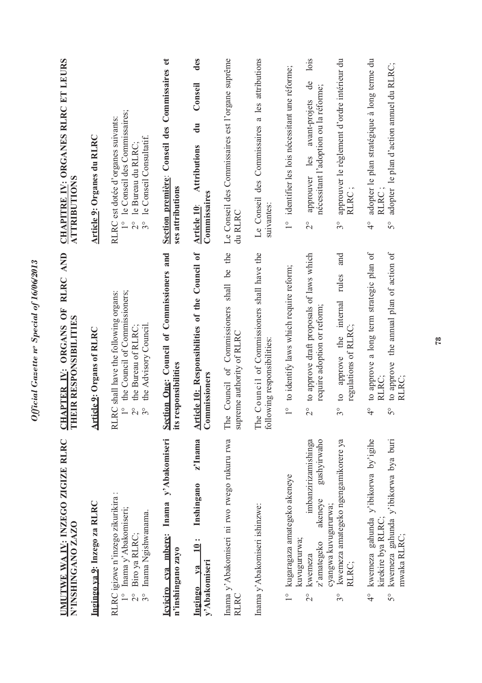| UMUTWE WA IV: INZEGO ZIGIZE RLRC<br>N'INSHINGANO ZAZO                                                                                 | CHAPTER IV: ORGANS OF RLRC AND<br>EIR RESPONSIBILITIES<br>E                                                                                                                  | CHAPITRE IV: ORGANES RLRC ET LEURS<br>ATTRIBUTIONS                                                                                                |
|---------------------------------------------------------------------------------------------------------------------------------------|------------------------------------------------------------------------------------------------------------------------------------------------------------------------------|---------------------------------------------------------------------------------------------------------------------------------------------------|
| Ingingo ya 9: Inzego za RLRC                                                                                                          | Article 9: Organs of RLRC                                                                                                                                                    | Article 9: Organes du RLRC                                                                                                                        |
| RLRC igizwe n'inzego zikurikira :<br>Inama y' Abakomiseri;<br>Inama Ngishwanama.<br>Biro ya RLRC;<br>$3^{\circ}$<br>$\frac{1}{2}$     | RC shall have the following organs:<br>the Council of Commissioners;<br>the Advisory Council.<br>the Bureau of RLRC:<br>$\frac{1}{1}$<br>$\overline{C}$<br>$3^{\circ}$<br>RU | le Conseil des Commissaires;<br>RLRC est dotée d'organes suivants:<br>le Conseil Consultatif.<br>le Bureau du RLRC;<br>$\frac{1}{2}$<br>$3^\circ$ |
| Inama y'Abakomiseri<br>Icviciro cva mbere:<br>n'inshingano zayo                                                                       | Section One: Council of Commissioners and<br>responsibilities<br>its r                                                                                                       | Conseil des Commissaires et<br>Section première:<br>ses attributions                                                                              |
| z'Inama<br>Inshingano<br>.<br>의<br>y'Abakomiseri<br>Ingingo ya                                                                        | Article 10: Responsibilities of the Council of<br>Commissioners                                                                                                              | des<br>Conseil<br>$\frac{1}{d}$<br><b>Attributions</b><br>Commissaires<br>Article 10:                                                             |
| Inama y'Abakomiseri ni rwo rwego rukuru rwa<br>RLRC                                                                                   | Council of Commissioners shall be the<br>ceme authority of RLRC<br>The<br>supr                                                                                               | Le Conseil des Commissaires est l'organe suprême<br>du RLRC                                                                                       |
| Inama y'Abakomiseri ishinzwe:                                                                                                         | Council of Commissioners shall have the<br>following responsibilities:<br>The                                                                                                | Le Conseil des Commissaires a les attributions<br>suivantes:                                                                                      |
| kugaragaza amategeko akeneye<br>$\frac{1}{1}$                                                                                         | to identify laws which require reform;<br>$\frac{1}{1}$                                                                                                                      | identifier les lois nécessitant une réforme;<br>$\frac{1}{1}$                                                                                     |
| imbanzirizamishinga<br>gushyirwaho<br>akeneye<br>kuvugururwa;<br>z'amategeko<br>kwemeza<br>$\overline{2}$                             | to approve draft proposals of laws which<br>require adoption or reform;<br>$\overline{C}$                                                                                    | lois<br>de<br>nécessitant l'adoption ou la réforme;<br>avant-projets<br>approuver les<br>$\overline{c}$                                           |
| kwemeza amategeko ngengamikorere ya<br>cyangwa kuvugururwa;<br>RLRC;<br>$3^{\circ}$                                                   | and<br>rules<br>approve the internal<br>regulations of RLRC;<br>$\mathbf{c}$<br>$3^{\circ}$                                                                                  | approuver le règlement d'ordre intérieur du<br><b>RLRC</b><br>$3^{\circ}$                                                                         |
| kwemeza gahunda y'ibikorwa by'igihe<br>kwemeza gahunda y'ibikorwa bya buri<br>kirekire bya RLRC<br>mwaka RLRC;<br>$\frac{1}{4}$<br>50 | to approve a long term strategic plan of<br>to approve the annual plan of action of<br>RLRC;<br>RLRC;<br>$\frac{1}{4}$<br>$\mathcal{S}^{\circ}$                              | adopter le plan stratégique à long terme du<br>adopter le plan d'action annuel du RLRC;<br>RLRC;<br>$\frac{1}{4}$<br>S°                           |

Official Gazette nº Special of 16/06/2013 *Official Gazette no Special of 16/06/2013*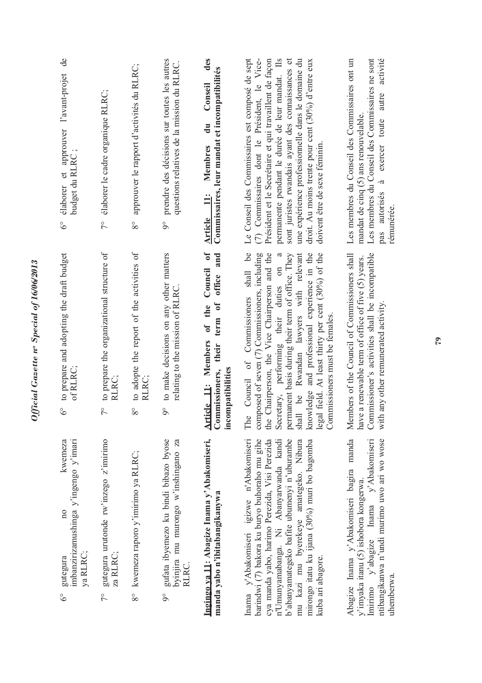| imbanzirizamushinga y'ingengo y'imari<br>kwemeza<br>$\overline{n}$<br>gutegura<br>$\delta^{\circ}$                                                                                                                                                                                                                                                     | to prepare and adopting the draft budget<br>of RLRC;<br>$\delta^{\circ}$                                                                                                                                                                                                                                                                                                                                                                                        | de<br>élaborer et approuver l'avant-projet<br>budget du RLRC;<br>$\delta^{\circ}$                                                                                                                                                                                                                                                                                                                                |
|--------------------------------------------------------------------------------------------------------------------------------------------------------------------------------------------------------------------------------------------------------------------------------------------------------------------------------------------------------|-----------------------------------------------------------------------------------------------------------------------------------------------------------------------------------------------------------------------------------------------------------------------------------------------------------------------------------------------------------------------------------------------------------------------------------------------------------------|------------------------------------------------------------------------------------------------------------------------------------------------------------------------------------------------------------------------------------------------------------------------------------------------------------------------------------------------------------------------------------------------------------------|
| ya RLRC;                                                                                                                                                                                                                                                                                                                                               |                                                                                                                                                                                                                                                                                                                                                                                                                                                                 |                                                                                                                                                                                                                                                                                                                                                                                                                  |
| gutegura urutonde rw'inzego z'imirimo<br>za RLRC;<br>$\sqrt{2}$                                                                                                                                                                                                                                                                                        | to prepare the organizational structure of<br>RLRC:<br>$7^{\circ}$                                                                                                                                                                                                                                                                                                                                                                                              | élaborer le cadre organique RLRC;<br>$\tilde{7}^{\circ}$                                                                                                                                                                                                                                                                                                                                                         |
| 8° kwemeza raporo y'imirimo ya RLRC;                                                                                                                                                                                                                                                                                                                   | to adopte the report of the activities of<br>RLRC:<br>$8^{\circ}$                                                                                                                                                                                                                                                                                                                                                                                               | approuver le rapport d'activités du RLRC;<br>$8^{\circ}$                                                                                                                                                                                                                                                                                                                                                         |
| gufata ibyemezo ku bindi bibazo byose<br>byinjira mu murongo w'inshingano za<br>RLRC.<br>$\delta$                                                                                                                                                                                                                                                      | to make decisions on any other matters<br>relating to the mission of RLRC.<br>$\delta$                                                                                                                                                                                                                                                                                                                                                                          | prendre des décisions sur toutes les autres<br>questions relatives de la mission du RLRC.<br>$\delta$                                                                                                                                                                                                                                                                                                            |
| Ingingo ya 11: Abagize Inama y'Abakomiseri,<br>manda yabo n'ibitabangikanywa                                                                                                                                                                                                                                                                           | Council of<br>office and<br>term of<br>of the<br><b>Article 11: Members</b><br>their<br>Commissioners,<br>incompatibilities                                                                                                                                                                                                                                                                                                                                     | des<br>Commissaires, leur mandat et incompatibilités<br>Conseil<br>$\mathbf{d}$ u<br>Membres<br>Article 11:                                                                                                                                                                                                                                                                                                      |
| Inama y'Abakomiseri igizwe n'Abakomiseri<br>n'Umunyamabanga. Ni Abanyarwanda kandi<br>b'abanyamategeko bafite ubumenyi n'uburambe<br>barindwi (7) bakora ku buryo buhoraho mu gihe<br>cya manda yabo, harimo Perezida, Visi Perezida<br>mu kazi mu byerekeye amategeko. Nibura<br>mirongo itatu ku ijana $(30\%)$ muri bo bagomba<br>kuba ari abagore. | shall be<br>Chairperson, the Vice Chairperson and the<br>composed of seven (7) Commissioners, including<br>permanent basis during their term of office. They<br>knowledge and professional experience in the<br>Secretary, performing their duties on a<br>Rwandan lawyers with relevant<br>legal field. At least thirty per cent (30%) of the<br>Council of Commissioners<br>Commissioners must be females.<br><u>be</u><br>The<br>shall<br>the $\overline{ }$ | Le Conseil des Commissaires est composé de sept<br>(7) Commissaires dont le Président, le Vice-<br>permanente pendant le durée de leur mandat. Ils<br>sont juristes rwandais ayant des connaissances et<br>Président et le Secrétaire et qui travaillent de façon<br>une expérience professionnelle dans le domaine du<br>droit. Au moins trente pour cent $(30\%)$ d'entre eux<br>doivent être de sexe féminin. |
| Abagize Inama y'Abakomiseri bagira manda<br>Imirimo y'abagize Inama y'Abakomiseri<br>ntibangikanwa n'undi murimo uwo ari wo wose<br>y'imyaka itanu (5) ishobora kongerwa.<br>uhemberwa.                                                                                                                                                                | Commissioner's activities shall be incompatible<br>Members of the Council of Commissioners shall<br>a renewable term of office of five (5) years.<br>any other remunerated activity.<br>have<br>with                                                                                                                                                                                                                                                            | Les membres du Conseil des Commissaires ont un<br>Les membres du Conseil des Commissaires ne sont<br>activité<br>autre<br>mandat de cinq (5) ans renouvelable.<br>exercer toute<br>à<br>pas autorisés<br>rémunérée.                                                                                                                                                                                              |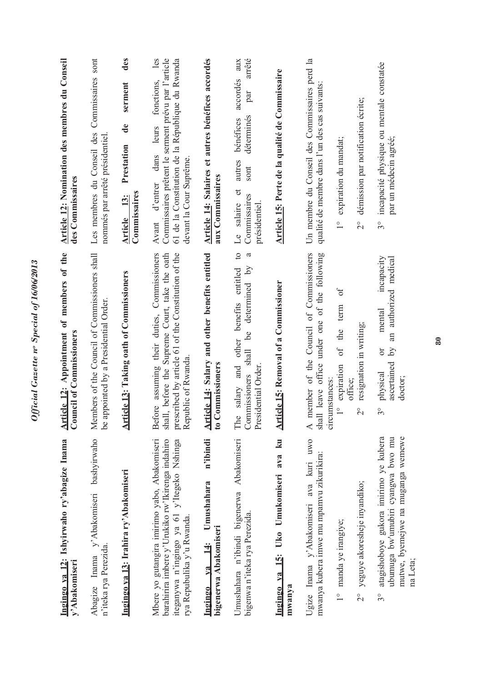| Ingingo ya 12: Ishyirwaho ry'abagize Inama<br>y'Abakomiseri                                                                                                                   | Article 12: Appointment of members of the<br><b>Council of Commissioners</b>                                                                                                         | Article 12: Nomination des membres du Conseil<br>des Commissaires                                                                                                                             |
|-------------------------------------------------------------------------------------------------------------------------------------------------------------------------------|--------------------------------------------------------------------------------------------------------------------------------------------------------------------------------------|-----------------------------------------------------------------------------------------------------------------------------------------------------------------------------------------------|
| Abagize Inama y'Abakomiseri bashyirwaho<br>n'iteka rya Perezida.                                                                                                              | Members of the Council of Commissioners shall<br>be appointed by a Presidential Order.                                                                                               | Les membres du Conseil des Commissaires sont<br>nommés par arrêté présidentiel.                                                                                                               |
| Ingingo ya 13: Irahira ry'Abakomiseri                                                                                                                                         | <b>Article 13: Taking oath of Commissioners</b>                                                                                                                                      | des<br>serment<br>$\mathbf{d}\mathbf{e}$<br>Prestation<br>Commissaires<br>13:<br>Article                                                                                                      |
| Mbere yo gutangira imirimo yabo, Abakomiseri<br>barahirira imbere y'Urukiko rw'Ikirenga indahiro<br>iteganywa n'ingingo ya 61 y'Itegeko Nshinga<br>rya Repubulika y'u Rwanda. | assuming their duties, Commissioners<br>prescribed by article 61 of the Constitution of the<br>shall, before the Supreme Court, take the oath<br>Republic of Rwanda<br><b>Before</b> | les<br>Commissaires prêtent le serment prévu par l'article<br>61 de la Constitution de la République du Rwanda<br>fonctions,<br>leurs<br>dans<br>devant la Cour Suprême.<br>d'entrer<br>Avant |
| n'ibindi<br>Umushahara<br>bigenerwa Abakomiseri<br>$\frac{14}{3}$<br>V2<br>Ingingo                                                                                            | Article 14: Salary and other benefits entitled<br><b>Commissioners</b><br>$\frac{1}{2}$                                                                                              | Article 14: Salaires et autres bénéfices accordés<br>aux Commissaires                                                                                                                         |
| Umushahara n'ibindi bigenerwa Abakomiseri<br>bigenwa n'iteka rya Perezida.                                                                                                    | $\circ$<br>ದ<br>determined by<br>benefits entitled<br>be<br>salary and other<br>shall<br>Presidential Order.<br>Commissioners<br>The                                                 | arrêté<br>aux<br>accordés<br>par<br>déterminés<br>bénéfices<br>autres<br>sont<br>$\sigma$<br>Commissaires<br>Le salaire<br>présidentiel.                                                      |
| 15: Uko Umukomiseri ava ku<br>$Na$<br>mwanya<br><u>Ingingo</u>                                                                                                                | icle 15: Removal of a Commissioner<br>$\overline{\text{Art}}$                                                                                                                        | Article 15: Perte de la qualité de Commissaire                                                                                                                                                |
| uwo<br>mwanya kubera imwe mu mpamvu zikurikira:<br>Ugize Inama y'Abakomiseri ava kuri                                                                                         | A member of the Council of Commissioners<br>Il leave office under one of the following<br>circumstances:<br>shal                                                                     | Un membre du Conseil des Commissaires perd la<br>qualité de membre dans l'un des cas suivants:                                                                                                |
| manda ye irangiye;<br>$\frac{1}{2}$                                                                                                                                           | $0f$<br>term<br>the<br>$\circ$ f<br>expiration<br>office;<br>$\frac{1}{\sqrt{2}}$                                                                                                    | expiration du mandat;<br>$\frac{1}{1}$                                                                                                                                                        |
| yeguye akoresheje inyandiko;<br>$\frac{1}{2}$                                                                                                                                 | resignation in writing;<br>$\frac{1}{2}$                                                                                                                                             | démission par notification écrite;<br>$\frac{1}{2}$                                                                                                                                           |
| atagishoboye gukora imirimo ye kubera<br>ubumuga bw'umubiri cyangwa bwo mu<br>mutwe, byemejwe na muganga wemewe<br>na Leta;<br>3°                                             | incapacity<br>an authorized medical<br>mental<br>$\Omega$<br>ð<br>ascertained<br>physical<br>doctor;<br>$3^{\circ}$                                                                  | incapacité physique ou mentale constatée<br>par un médecin agréé;<br>$3^{\circ}$                                                                                                              |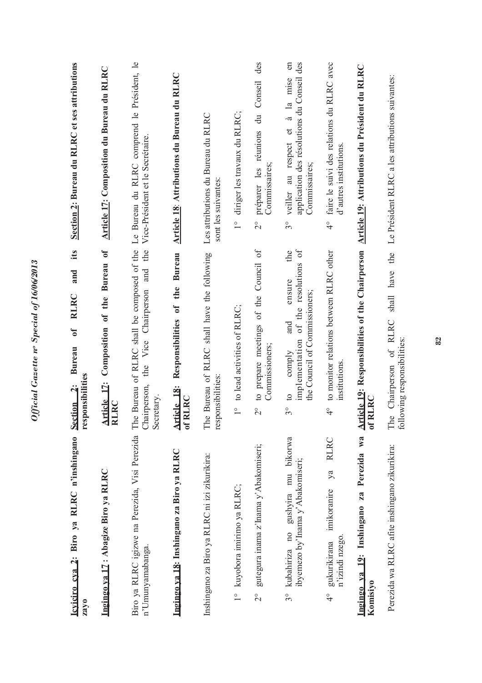| Icviciro cva 2: Biro ya RLRC n'inshingano<br>zayo                                    | its<br>and<br><b>RLRC</b><br>$\sigma$<br><b>Bureau</b><br>responsibilities<br>Section <sub>2</sub> :                                  | Section 2: Bureau du RLRC et ses attributions                                                                                     |
|--------------------------------------------------------------------------------------|---------------------------------------------------------------------------------------------------------------------------------------|-----------------------------------------------------------------------------------------------------------------------------------|
| Ingingo va 17: Abagize Biro ya RLRC                                                  | Bureau of<br>of the<br>Article 17: Composition<br><b>RLRC</b>                                                                         | Article 17: Composition du Bureau du RLRC                                                                                         |
| Biro ya RLRC igizwe na Perezida, Visi Perezida<br>n'Umunyamabanga.                   | The Bureau of RLRC shall be composed of the<br>the<br>and<br>Vice Chairperson<br>the<br>Chairperson,<br>Secretary.                    | Le Bureau du RLRC comprend le Président, le<br>Vice-Président et le Secrétaire.                                                   |
| Ingingo ya 18: Inshingano za Biro ya RLRC                                            | Responsibilities of the Bureau<br>Article 18:<br>of RLRC                                                                              | Article 18: Attributions du Bureau du RLRC                                                                                        |
| Inshingano za Biro ya RLRC ni izi zikurikira:                                        | The Bureau of RLRC shall have the following<br>responsibilities:                                                                      | Les attributions du Bureau du RLRC<br>sont les suivantes:                                                                         |
| kuyobora imirimo ya RLRC;<br>$\frac{1}{1}$                                           | to lead activities of RLRC;<br>$\frac{1}{1}$                                                                                          | diriger les travaux du RLRC;<br>$\frac{1}{2}$                                                                                     |
| gutegura inama z'Inama y'Abakomiseri;<br>$\frac{1}{2}$                               | to prepare meetings of the Council of<br>Commissioners;<br>$\overset{\circ}{\sim}$                                                    | des<br>du Conseil<br>préparer les réunions<br>Commissaires;<br>$\overset{\circ}{\sim}$                                            |
| kubahiriza no gushyira mu bikorwa<br>ibyemezo by'Inama y'Abakomiseri;<br>$3^{\circ}$ | resolutions of<br>the<br>ensure<br>the Council of Commissioners;<br>implementation of the<br>and<br>comply<br>$\Omega$<br>$3^{\circ}$ | application des résolutions du Conseil des<br>$\epsilon$<br>la mise<br>et à<br>veiller au respect<br>Commissaires;<br>$3^{\circ}$ |
| <b>RLRC</b><br>ya<br>imikoranire<br>n'izindi nzego.<br>gukurikirana<br>$\frac{1}{4}$ | to monitor relations between RLRC other<br>institutions<br>$\frac{1}{4}$                                                              | faire le suivi des relations du RLRC avec<br>d'autres institutions.<br>$\frac{1}{4}$                                              |
| Perezida wa<br>Ingingo va 19: Inshingano za<br>Komisiyo                              | Article 19: Responsibilities of the Chairperson<br>of RLRC                                                                            | Article 19: Attributions du Président du RLRC                                                                                     |
| Perezida wa RLRC afite inshingano zikurikira:                                        | shall have the<br>The Chairperson of RLRC<br>following responsibilities:                                                              | Le Président RLRC a les attributions suivantes:                                                                                   |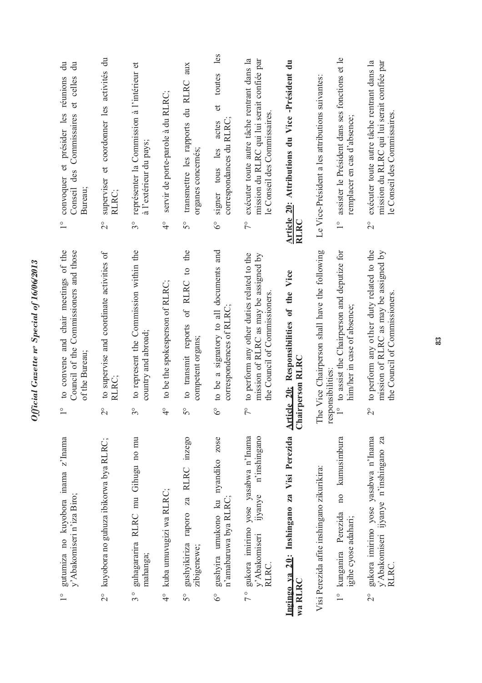| $\frac{1}{1}$ | gutumiza no kuyobora inama z'Inama<br>y' Abakomiseri n'iza Biro;                       |                         | to convene and chair meetings of the<br>Council of the Commissioners and those<br>of the Bureau;                     | $\overset{\circ}{\phantom{0}}$ | $\ddot{a}$<br>ਰੋ<br>et celles<br>réunions<br>convoquer et présider les<br>Conseil des Commissaires<br>Bureau;             |
|---------------|----------------------------------------------------------------------------------------|-------------------------|----------------------------------------------------------------------------------------------------------------------|--------------------------------|---------------------------------------------------------------------------------------------------------------------------|
|               | 2° kuyobora no guhuza ibikorwa bya RLRC;                                               | $\frac{1}{2}$           | to supervise and coordinate activities of<br>RLRC;                                                                   | $\overset{\circ}{\sim}$        | superviser et coordonner les activités du<br>RLRC;                                                                        |
| $\frac{1}{3}$ | guhagararira RLRC mu Gihugu no mu<br>mahanga;                                          | $3^{\circ}$             | to represent the Commission within the<br>country and abroad;                                                        | $\mathcal{S}^{\circ}$          | représenter la Commission à l'intérieur et<br>à l'extérieur du pays;                                                      |
| $\frac{6}{4}$ | kuba umuvugizi wa RLRC;                                                                | $\frac{1}{4}$           | to be the spokesperson of RLRC;                                                                                      | $\frac{1}{4}$                  | servir de porte-parole à du RLRC;                                                                                         |
| $5^{\circ}$   | gushyikiriza raporo za RLRC inzego<br>zibigenewe;                                      | $\mathcal{S}^{\circ}$   | the<br>of RLRC to<br>to transmit reports<br>competent organs;                                                        | $\mathcal{S}^{\circ}$          | transmettre les rapports du RLRC aux<br>organes concernés;                                                                |
| $6^{\circ}$   | gushyira umukono ku nyandiko zose<br>n'amabaruwa bya RLRC;                             | $6^{\circ}$             | to be a signatory to all documents and<br>correspondences of RLRC                                                    | $6^{\circ}$                    | les<br>toutes<br>$\sigma$<br>correspondances du RLRC;<br>actes<br>signer tous les                                         |
| $\frac{1}{2}$ | gukora imirimo yose yasabwa n'Inama<br>ijyanye n'inshingano<br>y' Abakomiseri<br>RLRC. | $\tilde{7}^{\circ}$     | to perform any other duties related to the<br>mission of RLRC as may be assigned by<br>the Council of Commissioners. | $\sqrt{\ }$                    | mission du RLRC qui lui serait confiée par<br>exécuter toute autre tâche rentrant dans la<br>le Conseil des Commissaires. |
| wa RLRC       | Ingingo ya 20: Inshingano za Visi Perezida                                             |                         | Article 20: Responsibilities of the Vice<br>Chairperson RLRC                                                         | <b>RLRC</b>                    | Article 20: Attributions du Vice -Président du                                                                            |
|               | Visi Perezida afite inshingano zikurikira:                                             |                         | The Vice Chairperson shall have the following<br>responsibilities:                                                   |                                | Le Vice-Président a les attributions suivantes:                                                                           |
|               | no kumusimbura<br>1° kunganira Perezida<br>igihe cyose adahari;                        | $\frac{1}{2}$           | to assist the Chairperson and deputize for<br>him/her in case of absence;                                            | $\overline{1}$                 | assister le Président dans ses fonctions et le<br>remplacer en cas d'absence;                                             |
| $\frac{1}{2}$ | gukora imirimo yose yasabwa n'Inama<br>y'Abakomiseri ijyanye n'inshingano za<br>RLRC.  | $\overset{\circ}{\sim}$ | to perform any other duty related to the<br>mission of RLRC as may be assigned by<br>the Council of Commissioners    | $\overset{\circ}{\sim}$        | exécuter toute autre tâche rentrant dans la<br>mission du RLRC qui lui serait confiée par<br>le Conseil des Commissaires  |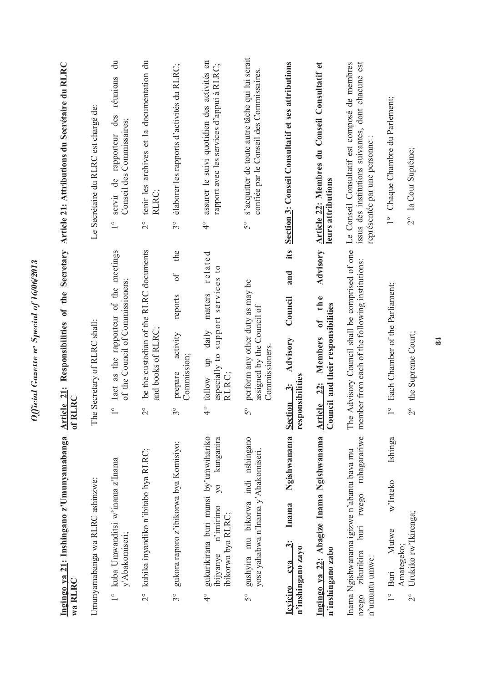| Ingingo ya 21: Inshingano z'Umunyamabanga<br>wa RLRC                                                                                    | Article 21: Responsibilities of the Secretary Article 21: Attributions du Secrétaire du RLRC<br>of RLRC    |                                                                                                                                       |
|-----------------------------------------------------------------------------------------------------------------------------------------|------------------------------------------------------------------------------------------------------------|---------------------------------------------------------------------------------------------------------------------------------------|
| Umunyamabanga wa RLRC ashinzwe:                                                                                                         | The Secretary of RLRC shall:                                                                               | Le Secrétaire du RLRC est chargé de:                                                                                                  |
| 1° kuba Umwanditsi w'inama z'Inama<br>y'Abakomiseri;                                                                                    | 1° 1act as the rapporteur of the meetings<br>of the Council of Commissioners;                              | $\ddot{a}$<br>servir de rapporteur des réunions<br>Conseil des Commissaires;<br>$\frac{0}{1}$                                         |
| 2° kubika inyandiko n'ibitabo bya RLRC;                                                                                                 | be the custodian of the RLRC documents<br>and books of RLRC;<br>$\overline{C}$                             | tenir les archives et la documentation du<br>RLRC;<br>$\overline{C}$                                                                  |
| gukora raporo z'ibikorwa bya Komisiyo;<br>$3^{\circ}$                                                                                   | the<br>$\sigma$<br>reports<br>activity<br>Commission;<br>prepare<br>$3^{\circ}$                            | élaborer les rapports d'activités du RLRC;<br>$3^{\circ}$                                                                             |
| gukurikirana buri munsi by'umwihariko<br>kunganira<br>$\overline{\gamma}$<br>ibijyanye n'imirimo<br>ibikorwa bya RLRC;<br>$\frac{1}{4}$ | related<br>support services to<br>matters<br>daily<br>especially to<br>follow up<br>RLRC;<br>$\frac{1}{4}$ | assurer le suivi quotidien des activités en<br>rapport avec les services d'appui à RLRC;<br>$\frac{1}{4}$                             |
| gushyira mu bikorwa indi nshingano<br>yose yahabwa n'Inama y'Abakomiseri.<br>50                                                         | perform any other duty as may be<br>assigned by the Council of<br>Commissioners.<br>$5^{\circ}$            | s'acquitter de toute autre tâche qui lui serait<br>confiée par le Conseil des Commissaires.<br>50                                     |
| Ngishwanama<br>Inama<br>ઌ૽<br>n'inshingano zayo<br>cva<br><b>Icviciro</b>                                                               | its<br>and<br>Council<br>Advisory<br>responsibilities<br>$\ddot{\mathbf{c}}$<br><b>Section</b>             | Section 3: Conseil Consultatif et ses attributions                                                                                    |
| Ingingo ya 22: Abagize Inama Ngishwanama<br>n'inshingano zabo                                                                           | Advisory<br>Article 22: Members of the<br>Council and their responsibilities                               | Article 22: Membres du Conseil Consultatif et<br>leurs attributions                                                                   |
| ruhagarariwe<br>Inama Ngishwanama igizwe n'abantu bava mu<br>rwego<br>bin<br>zikurikira<br>n'umuntu umwe:<br>nzego                      | The Advisory Council shall be comprised of one<br>member from each of the following institutions:          | Le Conseil Consultatif est composé de membres<br>issus des institutions suivantes, dont chacune est<br>représentée par une personne : |
| Ishinga<br>w'Inteko<br>Mutwe<br>$1^{\circ}$ Buri                                                                                        | Each Chamber of the Parliament;<br>$\frac{1}{1}$                                                           | 1° Chaque Chambre du Parlement;                                                                                                       |
| Urukiko rw'Ikirenga;<br>Amategeko;<br>$\frac{1}{2}$                                                                                     | the Supreme Court;<br>$\frac{1}{2}$                                                                        | 2° la Cour Suprême;                                                                                                                   |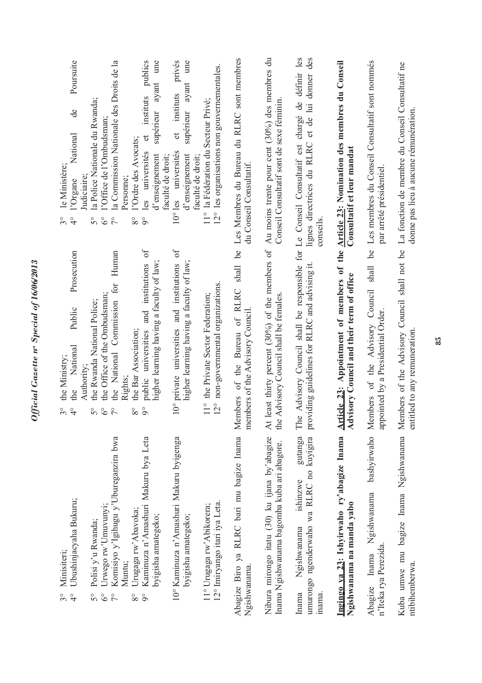| Ubushinjacyaha Bukuru;<br>Minisiteri;<br>$3^{\circ}$<br>$\frac{1}{4}$                                                                        | Prosecution<br>Public<br>National<br>the Ministry;<br>Authority;<br>the<br>$\mathcal{S}^{\circ}$<br>$\frac{1}{2}$                                                       | Poursuite<br><del>ද</del><br>National<br>le Ministère;<br>Judiciaire:<br>l'Organe<br>$3^{\circ}$<br>$\frac{1}{4}$                                               |
|----------------------------------------------------------------------------------------------------------------------------------------------|-------------------------------------------------------------------------------------------------------------------------------------------------------------------------|-----------------------------------------------------------------------------------------------------------------------------------------------------------------|
| Komisiyo y'Igihugu y'Ubureganzira bwa<br>Urwego rw'Umuvunyi;<br>Polisi y'u Rwanda;<br>$5^{\circ}$<br>$\delta^{\circ}$<br>$\tilde{7}^{\circ}$ | Human<br>the National Commission for<br>the Office of the Ombudsman;<br>the Rwanda National Police;<br>$\delta^{\circ}$<br>$\tilde{7}^{\circ}$<br>$\mathcal{S}^{\circ}$ | la Commission Nationale des Droits de la<br>la Police Nationale du Rwanda;<br>l'Office de l'Ombudsman<br>$\delta^{\circ}$<br>$\zeta$<br>$\mathcal{S}^{\circ}$   |
| Kaminuza n'Amashuri Makuru bya Leta<br>Urugaga rw'Abavoka;<br>byigisha amategeko;<br>Muntu;<br>$\circ$<br>$8^{\circ}$                        | $\sigma$<br>and institutions<br>higher learning having a faculty of law<br>the Bar Association;<br>public universities<br>Rights;<br>$\circ$<br>$8^{\circ}$             | ume<br>publics<br>supérieur ayant<br>instituts<br>$\sigma$<br>l'Ordre des Avocats;<br>les universités<br>d'enseignement<br>Personne;<br>$\delta$<br>$8^{\circ}$ |
| 10° Kaminuza n'Amashuri Makuru byigenga<br>byigisha amategeko;                                                                               | $\delta$<br>10° private universities and institutions<br>higher learning having a faculty of law;                                                                       | privés<br>ume<br>supérieur ayant<br>instituts<br>$\sigma$<br>10° les universités<br>d'enseignement<br>faculté de droit;                                         |
| 12° Imiryango itari iya Leta.<br>11° Urugaga rw' Abikorera;                                                                                  | 12° non-governmental organizations<br>11° the Private Sector Federation;                                                                                                | 12° les organisations non gouvernementales.<br>11° la Fédération du Secteur Privé;<br>faculté de droit;                                                         |
| Abagize Biro ya RLRC bari mu bagize Inama Members of the Bureau of RLRC<br>Ngishwanama.                                                      | 6 <sup>o</sup><br>shall<br>members of the Advisory Council                                                                                                              | Les Membres du Bureau du RLRC sont membres<br>du Conseil Consultatif.                                                                                           |
| Nibura mirongo itatu (30) ku ijana by'abagize<br>Inama Ngishwanama bagomba kuba ari abagore.                                                 | At least thirty percent (30%) of the members of<br>Advisory Council shall be females.<br>the                                                                            | Au moins trente pour cent (30%) des membres du<br>Conseil Consultatif sont de sexe féminin                                                                      |
| gutanga<br>umurongo ngenderwaho wa RLRC no kuyigira<br>ishinzwe<br>Ngishwanama<br>inama.<br>Inama                                            | The Advisory Council shall be responsible for Le Conseil Consultatif est chargé de définir les<br>providing guidelines for RLRC and advising it.                        | lignes directrices du RLRC et de lui donner des<br>conseils                                                                                                     |
| Ingingo ya 23: Ishyirwaho ry'abagize Inama<br>Ngishwanama na manda yabo                                                                      | Article 23: Appointment of members of the Article 23: Nomination des membres du Conseil<br>visory Council and their term of office<br>$\overline{\mathsf{A}}$ d         | Consultatif et leur mandat                                                                                                                                      |
| Ngishwanama<br>n'Iteka rya Perezida.<br>Inama<br>Abagize                                                                                     | <u>de</u><br>bashyirwaho Members of the Advisory Council shall<br>appointed by a Presidential Order.                                                                    | Les membres du Conseil Consultatif sont nommés<br>par arrêté présidentiel.                                                                                      |
| Kuba umwe mu bagize Inama Ngishwanama Members of the Advisory Council shall not be<br>ntibihemberwa.                                         | entitled to any remuneration                                                                                                                                            | La fonction de membre du Conseil Consultatif ne<br>donne pas lieu à aucune rémunération.                                                                        |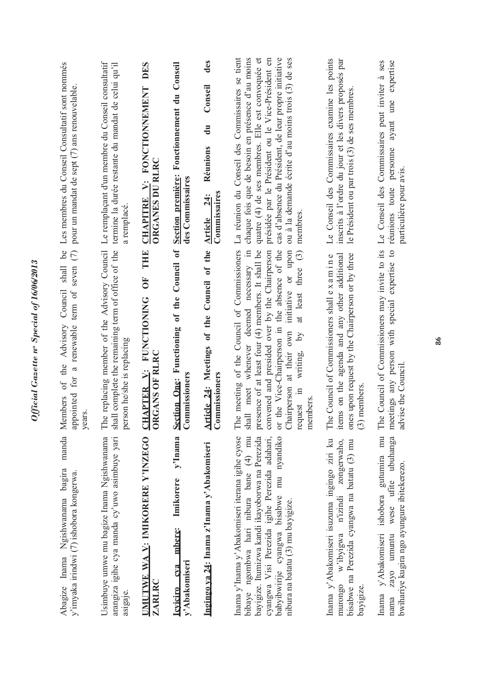| Les membres du Conseil Consultatif sont nommés<br>pour un mandat de sept (7) ans renouvelable                                              | Le remplaçant d'un membre du Conseil consultatif<br>termine la durée restante du mandat de celui qu'il<br>a remplacé             | DES<br>CHAPITRE V: FONCTIONNEMENT<br><b>ORGANES DU RLRC</b>           | Section première: Fonctionnement du Conseil<br>des Commissaires           | des<br>Conseil<br>$\mathbf{d}\mathbf{u}$<br>Réunions<br>Commissaires<br><b>24:</b><br>Article | La réunion du Conseil des Commissaires se tient<br>chaque fois que de besoin en présence d'au moins<br>$\sigma$<br>présidée par le Président ou le Vice-Président en<br>cas d'absence du Président, de leur propre initiative<br>ou à la demande écrite d'au moins trois (3) de ses<br>quatre (4) de ses membres. Elle est convoquée<br>membres                               | Le Conseil des Commissaires examine les points<br>inscrits à l'ordre du jour et les divers proposés par<br>le Président ou par trois (3) de ses membres                | expertise<br>Commissaires peut inviter à ses<br>ayant une<br>personne<br>particulière pour avis.<br>Le Conseil des<br>réunions toute          |
|--------------------------------------------------------------------------------------------------------------------------------------------|----------------------------------------------------------------------------------------------------------------------------------|-----------------------------------------------------------------------|---------------------------------------------------------------------------|-----------------------------------------------------------------------------------------------|-------------------------------------------------------------------------------------------------------------------------------------------------------------------------------------------------------------------------------------------------------------------------------------------------------------------------------------------------------------------------------|------------------------------------------------------------------------------------------------------------------------------------------------------------------------|-----------------------------------------------------------------------------------------------------------------------------------------------|
| $^{bc}$<br>appointed for a renewable term of seven (7)<br>$\ensuremath{\textit{shall}}$<br>Council<br>of the Advisory<br>Members<br>years. | The replacing member of the Advisory Council<br>shall complete the remaining term of office of the<br>person he/she is replacing | <b>THEFT</b><br>UF<br>CHAPTER V: FUNCTIONING<br><b>ORGANS OF RLRC</b> | Section One: Functioning of the Council of<br>Commissioners               | Article 24: Meetings of the Council of the<br>mmissioners<br>්                                | The meeting of the Council of Commissioners<br>meet whenever deemed necessary in<br>presence of at least four (4) members. It shall be<br>convened and presided over by the Chairperson<br>or the Vice-Chairperson in the absence of the<br>initiative or upon<br>at least three (3)<br>Chairperson at their own<br>$\lambda$ q<br>writing,<br>request in<br>members<br>shall | ones upon request by the Chairperson or by three<br>items on the agenda and any other additional<br>The Council of Commissioners shall ex a mine<br>members<br>$\odot$ | The Council of Commissioners may invite to its<br>$\overline{c}$<br>expertise<br>meetings any person with special<br>advise the Council.      |
| manda<br>Abagize Inama Ngishwanama bagira<br>y'imyaka irindwi (7) ishobora kongerwa.                                                       | arangiza igihe cya manda cy'uwo asimbuye yari<br>Usimbuye umwe mu bagize Inama Ngishwanama<br>asigaje.                           | UMUTWE WA V: IMIKORERE Y'INZEGO<br><b>ZARLRC</b>                      | y'Inama<br>Imikorere<br>mbere:<br>y'Abakomiseri<br>cva<br><b>Leviciro</b> | Ingingo ya 24: Inama z'Inama y'Abakomiseri                                                    | Inama y'Inama y'Abakomiseri iterana igihe cyose<br>bayigize. Itumizwa kandi ikayoborwa na Perezida<br>cyangwa Visi Perezida igihe Perezida adahari,<br>babyibwirije cyangwa bisabwe mu nyandiko<br>bibaye ngombwa hari nibura bane (4) mu<br>nibura na batatu (3) mu bayigize.                                                                                                | Inama y'Abakomiseri isuzuma ingingo ziri ku<br>zongerwaho,<br>bisabwe na Perezida cyangwa na batatu (3) mu<br>w'ibyigwa n'izindi<br>murongo<br>bayigize                | gutumira mu<br>ubuhanga<br>bwihariye kugira ngo ayungure ibitekerezo.<br>wese ufite<br>Inama y'Abakomiseri ishobora<br>umuntu<br>zayo<br>nama |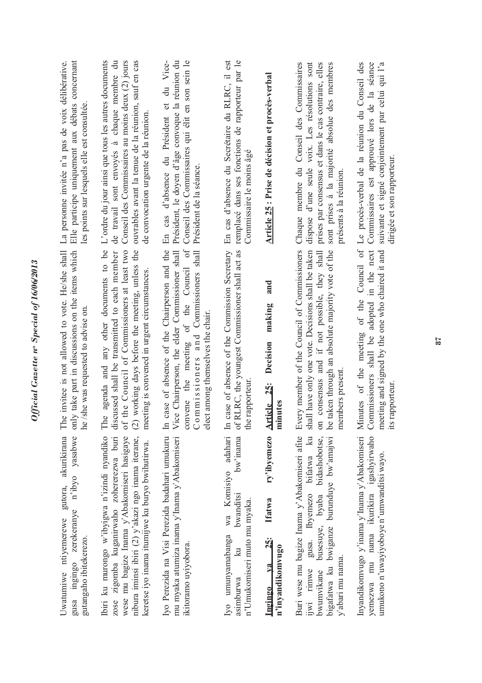Official Gazette nº Special of 16/06/2013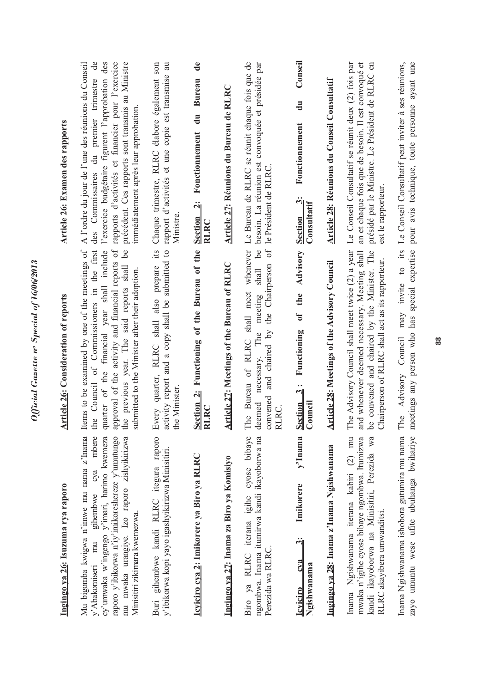| Ingingo va 26: Isuzuma rya raporo                                                                                                                                                                                                                                        | rticle 26: Consideration of reports<br>₹                                                                                                                                                                                                                                                                     | Article 26: Examen des rapports                                                                                                                                                                                                                                                                                             |
|--------------------------------------------------------------------------------------------------------------------------------------------------------------------------------------------------------------------------------------------------------------------------|--------------------------------------------------------------------------------------------------------------------------------------------------------------------------------------------------------------------------------------------------------------------------------------------------------------|-----------------------------------------------------------------------------------------------------------------------------------------------------------------------------------------------------------------------------------------------------------------------------------------------------------------------------|
| Mu bigomba kwigwa n'imwe mu nama z'Inama<br>mbere<br>cy'umwaka w'ingengo y'imari, harimo kwemeza<br>mu mwaka urangiye. Izo raporo zishyikirizwa<br>raporo y'ibikorwa n'iy'imikoreshereze y'umutungo<br>gihembwe cya<br>Minisitiri zikimara kwemezwa.<br>y'Abakomiseri mu | quarter of the financial year shall include<br>Items to be examined by one of the meetings of<br>approval of the activity and financial reports of<br>the Council of Commissioners in the first<br><u>be</u><br>the previous year. The said reports shall<br>submitted to the Minister after their adoption. | A l'ordre du jour de l'une des réunions du Conseil<br>$\mathbf{d}\mathbf{e}$<br>l'exercice budgétaire figurent l'approbation des<br>rapports d'activités et financier pour l'exercice<br>précédent. Ces rapports sont transmis au Ministre<br>des Conmissaires du premier trimestre<br>immédiatement après leur approbation |
| Buri gihembwe kandi RLRC itegura raporo<br>y'ibikorwa kopi yayo igashyikirizwa Minisitiri.                                                                                                                                                                               | its<br>activity report and a copy shall be submitted to<br>prepare<br>Every quarter, RLRC shall also<br>the Minister.                                                                                                                                                                                        | Chaque trimestre, RLRC élabore également son<br>rapport d'activités et une copie est transmise au<br>Ministre                                                                                                                                                                                                               |
| Icyiciro cya 2: Imikorere ya Biro ya RLRC                                                                                                                                                                                                                                | Section 2: Functioning of the Bureau of the<br>RLRC                                                                                                                                                                                                                                                          | $\mathbf{d}\mathbf{e}$<br><b>Bureau</b><br>$\mathbf{d}$ u<br>Fonctionnement<br>Section 2:<br><b>RLRC</b>                                                                                                                                                                                                                    |
| Ingingo ya 27: Inama za Biro ya Komisiyo                                                                                                                                                                                                                                 | rticle 27: Meetings of the Bureau of RLRC<br>₹                                                                                                                                                                                                                                                               | Article 27: Réunions du Bureau de RLRC                                                                                                                                                                                                                                                                                      |
| Biro ya RLRC iterana igihe cyose bibaye<br>ngombwa. Inama itumirwa kandi ikayoborwa na<br>Perezida wa RLRC                                                                                                                                                               | and chaired by the Chairperson of<br>be<br>The Bureau of RLRC shall meet whenever<br>shall<br>meeting<br>necessary. The<br>convened<br>deemed<br>RLRC.                                                                                                                                                       | Le Bureau de RLRC se réunit chaque fois que de<br>besoin. La réunion est convoquée et présidée par<br>le Président de RLRC                                                                                                                                                                                                  |
| y'Inama Section<br>Imikorere<br>$\ddot{\mathbf{c}}$<br>c <sub>va</sub><br>Ngishwanama<br><b>Leviciro</b>                                                                                                                                                                 | of the Advisory<br>Functioning<br>$\ddot{3}$<br>Council                                                                                                                                                                                                                                                      | Conseil<br>$\mathbf{d}\mathbf{u}$<br>Fonctionnement<br>$\mathbf{C}$<br>Consultatif<br><b>Section</b>                                                                                                                                                                                                                        |
| Ingingo ya 28: Inama z'Inama Ngishwanama                                                                                                                                                                                                                                 | Article 28: Meetings of the Advisory Council                                                                                                                                                                                                                                                                 | Article 28: Réunions du Conseil Consultatif                                                                                                                                                                                                                                                                                 |
| Inama Ngishwanama iterana kabiri (2) mu<br>kandi ikayoborwa na Minisitiri, Perezida wa<br>mwaka n'igihe cyose bibaye ngombwa. Itumizwa<br>RLRC akayibera umwanditsi.                                                                                                     | The Advisory Council shall meet twice (2) a year<br>and whenever deemed necessary. Meeting shall<br>convened and chaired by the Minister. The<br>Chairperson of RLRC shall act as its rapporteur.<br>ತಿ                                                                                                      | Le Conseil Consultatif se réunit deux (2) fois par<br>an et chaque fois que de besoin. Il est convoqué et<br>présidé par le Ministre. Le Président de RLRC en<br>est le rapporteur.                                                                                                                                         |
| zayo umuntu wese ufite ubuhanga bwihariye<br>Inama Ngishwanama ishobora gutumira mu nama                                                                                                                                                                                 | meetings any person who has special expertise<br>may invite to its<br>Advisory Council<br>The                                                                                                                                                                                                                | pour avis technique, toute personne ayant une<br>Le Conseil Consultatif peut inviter à ses réunions,                                                                                                                                                                                                                        |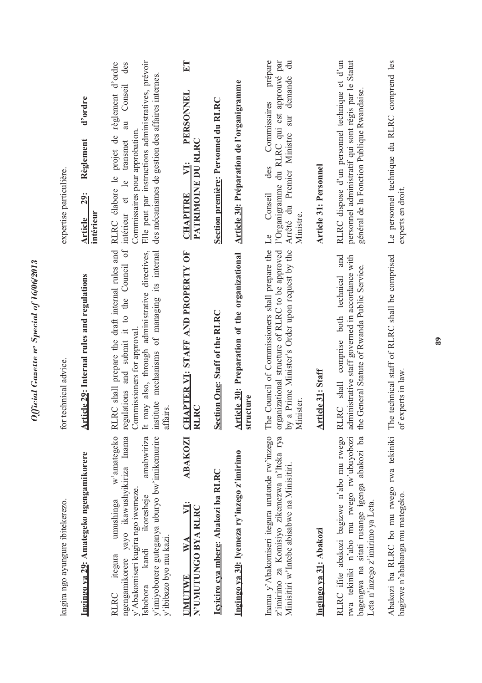| kugira ngo ayungure ibitekerezo.                                                                                                                                                                                                                             | technical advice.<br>for                                                                                                                                                                                                                               | expertise particulière.                                                                                                                                                                                                                                       |
|--------------------------------------------------------------------------------------------------------------------------------------------------------------------------------------------------------------------------------------------------------------|--------------------------------------------------------------------------------------------------------------------------------------------------------------------------------------------------------------------------------------------------------|---------------------------------------------------------------------------------------------------------------------------------------------------------------------------------------------------------------------------------------------------------------|
| Ingingo ya 29: Amategeko ngengamikorere                                                                                                                                                                                                                      | Article 29: Internal rules and regulations                                                                                                                                                                                                             | d'ordre<br>Règlement<br><b>29:</b><br>intérieur<br>Article                                                                                                                                                                                                    |
| w'amategeko<br>yayo ikawushyikiriza Inama<br>y'imiyoborere guteganya uburyo bw'imikemurire<br>amabwiriza<br>y'Abakomiseri kugira ngo iwemeze.<br>ikoresheje<br>umushinga<br>y'ibibazo byo mu kazi.<br>kandi<br>itegura<br>ngengamikorere<br>Ishobora<br>RLRC | RC shall prepare the draft internal rules and<br>regulations and submit it to the Council of<br>may also, through administrative directives,<br>institute mechanisms of managing its internal<br>Commissioners for approval<br>affairs.<br>RL<br>$\pm$ | Elle peut par instructions administratives, prévoir<br>projet de règlement d'ordre<br>des<br>des mécanismes de gestion des affaires internes.<br>Conseil<br>$\overline{a}$<br>Commissaires pour approbation<br>transmet<br>RLRC élabore le<br>intérieur et le |
| N'UMUTUNGO BYA RLRC<br>WA<br><b>UMUTWE</b>                                                                                                                                                                                                                   | ABAKOZI CHAPTER V1: STAFF AND PROPERTY OF<br><b>RLRC</b>                                                                                                                                                                                               | ET<br>PERSONNEL<br>PATRIMOINE DU RLRC<br>VI:<br><b>CHAPITRE</b>                                                                                                                                                                                               |
| Icviciro cva mbere: Abakozi ba RLRC                                                                                                                                                                                                                          | Section One: Staff of the RLRC                                                                                                                                                                                                                         | Section première: Personnel du RLRC                                                                                                                                                                                                                           |
| Ingingo ya 30: Iyemeza ry'inzego z'imirimo                                                                                                                                                                                                                   | Article 30: Preparation of the organizational<br>structure                                                                                                                                                                                             | Article 30: Préparation de l'organigramme                                                                                                                                                                                                                     |
| Inama y'Abakomiseri itegura urutonde rw'inzego<br>z'imirimo za Komisiyo zikemezwa n'Iteka rya<br>Minisitiri w'Intebe abisabwe na Minisitiri.                                                                                                                 | organizational structure of RLRC to be approved<br>e Council of Commissioners shall prepare the<br>a Prime Minister's Order upon request by the<br>Minister<br>$\mathbb{H}$<br>$\lambda$ q                                                             | prépare<br>l'Organigramme du RLRC qui est approuvé par<br>$\ddot{\vec{a}}$<br>demande<br>Commissaires<br>Arrêté du Premier Ministre sur<br>des<br>Conseil<br>Ministre<br>Le                                                                                   |
| Ingingo ya 31: Abakozi                                                                                                                                                                                                                                       | <b>Article 31: Staff</b>                                                                                                                                                                                                                               | <b>Article 31: Personnel</b>                                                                                                                                                                                                                                  |
| RLRC ifite abakozi bagizwe n'abo mu rwego<br>bagengwa na sitati rusange igenga abakozi ba<br>rwa tekiniki n'abo mu rwego rw'ubuyobozi<br>Leta n'inzego z'imirimo ya Leta.                                                                                    | and<br>administrative staff governed in accordance with<br>the General Statute of Rwanda Public Service.<br>comprise both technical<br>shall<br><b>RLRC</b>                                                                                            | RLRC dispose d'un personnel technique et d'un<br>personnel administratif qui sont régis par le Statut<br>général de la Fonction Publique Rwandaise.                                                                                                           |
| Abakozi ba RLRC bo mu rwego rwa tekiniki Th<br>bagizwe n'abahanga mu mategeko.                                                                                                                                                                               | e technical staff of RLRC shall be comprised<br>of experts in law.                                                                                                                                                                                     | Le personnel technique du RLRC comprend les<br>experts en droit.                                                                                                                                                                                              |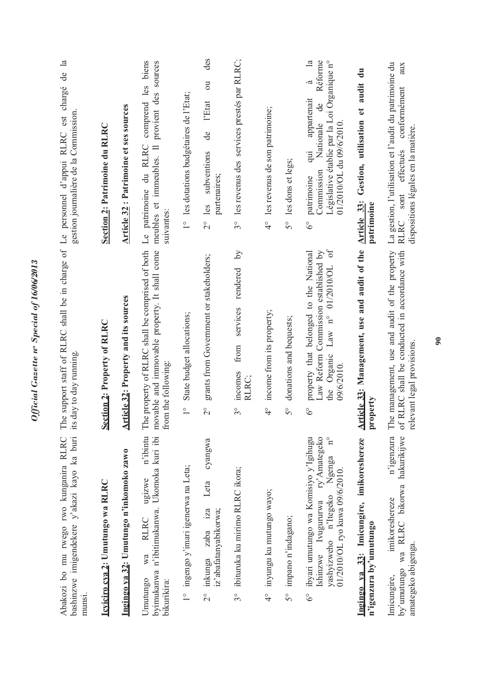| bashinzwe imigendekere y'akazi kayo ka buri its day to day running<br>Abakozi bo mu rwego rwo kunganira RLRC The<br>munsi.                                                  |                                                                                                                                                                           | support staff of RLRC shall be in charge of Le personnel d'appui RLRC est chargé de la<br>gestion journalière de la Commission                                                                                          |
|-----------------------------------------------------------------------------------------------------------------------------------------------------------------------------|---------------------------------------------------------------------------------------------------------------------------------------------------------------------------|-------------------------------------------------------------------------------------------------------------------------------------------------------------------------------------------------------------------------|
| Icviciro cva 2: Umutungo wa RLRC                                                                                                                                            | Section 2: Property of RLRC                                                                                                                                               | Section 2: Patrimoine du RLRC                                                                                                                                                                                           |
| Ingingo ya 32: Umutungo n'inkomoko zawo                                                                                                                                     | Article 32: Property and its sources                                                                                                                                      | <b>Article 32</b> : Patrimoine et ses sources                                                                                                                                                                           |
| n'ibintu<br>byimukanwa n'ibitimukanwa. Ukomoka kuri ibi<br>ugizwe<br><b>RLRC</b><br>wa<br>Umutungo<br>bikurikira:                                                           | The property of RLRC shall be comprised of both<br>movable and immovable property. It shall come<br>from the following:                                                   | comprend les biens<br>provient des sources<br>meubles et immeubles. Il<br>Le patrimoine du RLRC<br>suivantes:                                                                                                           |
| 1° ingengo y'imari igenerwa na Leta;                                                                                                                                        | State budget allocations;<br>$\overset{\circ}{\phantom{\cdot}}$                                                                                                           | 1° les dotations budgétaires de l'Etat;                                                                                                                                                                                 |
| cyangwa<br>Leta<br>iz'abafatanyabikorwa;<br>iza<br>zaba<br>inkunga<br>$\frac{1}{2}$                                                                                         | grants from Government or stakeholders;<br>$\overline{c}$                                                                                                                 | des<br>$\overline{\mathrm{c}}$<br>l'Etat<br>de<br>subventions<br>partenaires;<br>les<br>$\frac{1}{2}$                                                                                                                   |
| ibituruka ku mirimo RLRC ikora;<br>$3^\circ$                                                                                                                                | $\overline{S}$<br>rendered<br>services<br>from<br>incomes<br>RLRC;<br>$3^{\circ}$                                                                                         | 3° les revenus des services prestés par RLRC;                                                                                                                                                                           |
| inyungu ku mutungo wayo;<br>$\frac{1}{4}$                                                                                                                                   | income from its property;<br>$\frac{1}{4}$                                                                                                                                | 4° les revenus de son patrimoine;                                                                                                                                                                                       |
| impano n'indagano;<br>$\delta^{\circ}$                                                                                                                                      | donations and bequests;<br>50                                                                                                                                             | 5° les dons et legs;                                                                                                                                                                                                    |
| Ishinzwe Ivugururwa ry'Amategeko<br>ibyari umutungo wa Komisiyo y'Igihugu<br>$\mathrm{^{o}}$<br>yashyizweho n'Itegeko Ngenga<br>01/2010/OL ryo kuwa 09/6/2010.<br>$6^\circ$ | $\sigma$<br>Law Reform Commission established by<br>property that belonged to the National<br>Law $n^{\circ}$ 01/2010/OL<br>the Organic<br>09/6/2010.<br>$\delta^{\circ}$ | $\mathbb{Z}$<br>Réforme<br>Législative établie par la Loi Organique n°<br>à<br>appartenait<br>$\mathbf{d}\mathbf{e}$<br>Nationale<br>$01/2010/OL$ du $09/6/2010$<br>$\ddot{=}$<br>Commission<br>patrimoine<br>$6^\circ$ |
| Ingingo va 33: Imicungire, imikoreshereze<br>n'igenzura by'umutungo                                                                                                         | Article 33: Management, use and audit of the<br>property                                                                                                                  | audit du<br>Gestion, utilisation et<br>Article 33:<br>patrimoine                                                                                                                                                        |
| n'igenzura<br>by'umutungo wa RLRC bikorwa hakurikijwe<br>imikoreshereze<br>amategeko abigenga.<br>Imicungire,                                                               | The management, use and audit of the property<br>RLRC shall be conducted in accordance with<br>relevant legal provisions<br>$\int$                                        | La gestion, l'utilisation et l'audit du patrimoine du<br>aux<br>conformément<br>dispositions légales en la matière.<br>effectués<br>RLRC sont                                                                           |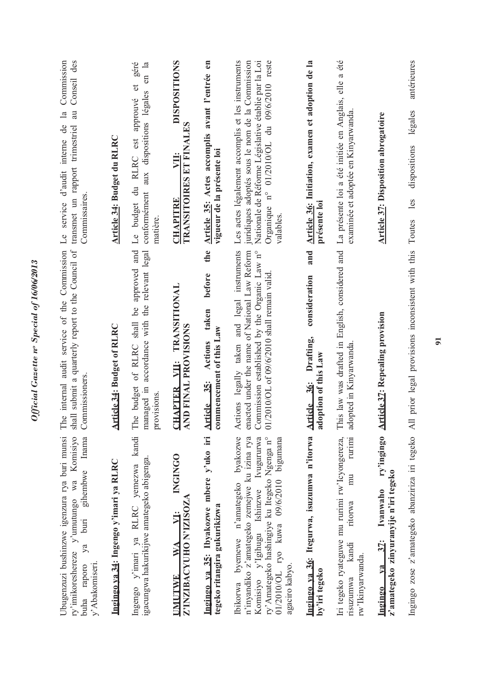| Ubugenzuzi bushinzwe igenzura rya buri munsi<br>ry'imikoreshereze y'umutungo wa Komisiyo<br>Inama<br>gihembwe<br>buri<br>ya<br>y'Abakomiseri.<br>buha raporo                                                                                    | internal audit service of the Commission<br>shall submit a quarterly report to the Council of<br>Commissioners<br>The                                                                      | Conseil des<br>Commission<br>$\overline{a}$<br>$\mathbb{E}$<br>Le service d'audit interne de<br>transmet un rapport trimestriel<br>Commissaires.                                                                      |
|-------------------------------------------------------------------------------------------------------------------------------------------------------------------------------------------------------------------------------------------------|--------------------------------------------------------------------------------------------------------------------------------------------------------------------------------------------|-----------------------------------------------------------------------------------------------------------------------------------------------------------------------------------------------------------------------|
| Ingingo ya 34: Ingengo y'imari ya RLRC                                                                                                                                                                                                          | Article 34: Budget of RLRC                                                                                                                                                                 | Article 34: Budget du RLRC                                                                                                                                                                                            |
| Ingengo y'imari ya RLRC yemezwa kandi<br>igacungwa hakurikijwe amategeko abigenga.                                                                                                                                                              | approved and<br>managed in accordance with the relevant legal<br><u>de</u><br>of RLRC shall<br>e budget<br>provisions.<br>É                                                                | géré<br>$en$ la<br>$\sigma$<br>conformément aux dispositions légales<br>est approuvé<br>Le budget du RLRC<br>matière.                                                                                                 |
| <b>NGINGO</b><br>Z'INZIBACYUHO N'IZISOZA<br>VI:<br>$\mathbb{V}\mathbb{A}$<br><b>UMUTWE</b>                                                                                                                                                      | TRANSITIONAL<br>AND FINAL PROVISIONS<br>HAPTER VII:<br>៑                                                                                                                                   | <b>DISPOSITIONS</b><br><b>TRANSITOIRES ET FINALES</b><br>VII:<br><b>CHAPITRE</b>                                                                                                                                      |
| Ingingo ya 35: Ibyakozwe mbere y'uko iri<br>tegeko ritangira gukurikizwa                                                                                                                                                                        | the<br>before<br>taken<br>commencement of this Law<br>Actions<br>35:<br><b>Article</b>                                                                                                     | Article 35: Actes accomplis avant l'entrée en<br>vigueur de la présente loi                                                                                                                                           |
| byakozwe<br>n'inyandiko z'amategeko zemejwe ku izina rya<br>Komisiyo y'Igihugu Ishinzwe Ivugururwa<br>ry' Amategeko hashingiye ku Itegeko Ngenga n°<br>01/2010/OL ryo kuwa 09/6/2010 bigumana<br>Ibikorwa byemewe n'amategeko<br>agaciro kabyo. | Actions legally taken and legal instruments<br>enacted under the name of National Law Reform<br>Commission established by the Organic Law n°<br>01/2010/OL of 09/6/2010 shall remain valid | Les actes légalement accomplis et les instruments<br>Organique n° 01/2010/OL du 09/6/2010 reste<br>juridiques adoptés sous le nom de la Commission<br>Nationale de Réforme Législative établie par la Loi<br>valables |
| Ingingo va 36: Itegurwa, isuzumwa n'itorwa<br>by'iri tegeko                                                                                                                                                                                     | and<br>consideration<br>Drafting,<br>adoption of this Law<br>36:<br><b>Article</b>                                                                                                         | Article 36: Initiation, examen et adoption de la<br>présente loi                                                                                                                                                      |
| Iri tegeko ryateguwe mu rurimi rw'lcyongereza,<br>rurimi<br>mu<br>ritorwa<br>kandi<br>rw'Ikinyarwanda.<br>risuzumwa                                                                                                                             | This law was drafted in English, considered and<br>adopted in Kinyarwanda                                                                                                                  | La présente loi a été initiée en Anglais, elle a été<br>examinée et adoptée en Kinyarwanda                                                                                                                            |
| ry'ingingo<br>z'amategeko zinyuranyije n'iri tegeko<br>Ivanwaho<br>37:<br>Ingingo ya                                                                                                                                                            | <b>Article 37: Repealing provision</b>                                                                                                                                                     | <b>Article 37: Disposition abrogatoire</b>                                                                                                                                                                            |
| Ingingo zose z'amategeko abanziriza iri tegeko All prior legal provisions inconsistent with this                                                                                                                                                |                                                                                                                                                                                            | antérieures<br>légales<br>dispositions<br>les<br>Toutes                                                                                                                                                               |